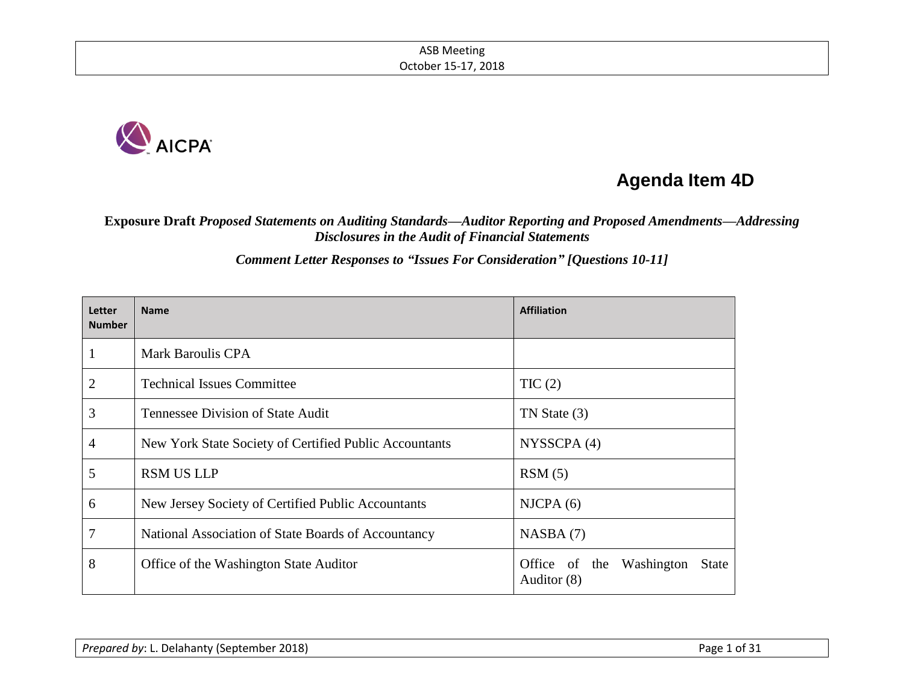

# **Agenda Item 4D**

**Exposure Draft** *Proposed Statements on Auditing Standards—Auditor Reporting and Proposed Amendments—Addressing Disclosures in the Audit of Financial Statements*

*Comment Letter Responses to "Issues For Consideration" [Questions 10-11]*

| Letter<br><b>Number</b> | <b>Name</b>                                            | <b>Affiliation</b>                                         |
|-------------------------|--------------------------------------------------------|------------------------------------------------------------|
|                         | Mark Baroulis CPA                                      |                                                            |
| $\overline{2}$          | <b>Technical Issues Committee</b>                      | TIC(2)                                                     |
| 3                       | Tennessee Division of State Audit                      | TN State (3)                                               |
| 4                       | New York State Society of Certified Public Accountants | NYSSCPA(4)                                                 |
| 5                       | <b>RSM US LLP</b>                                      | RSM(5)                                                     |
| 6                       | New Jersey Society of Certified Public Accountants     | NICPA(6)                                                   |
| 7                       | National Association of State Boards of Accountancy    | NASBA(7)                                                   |
| 8                       | Office of the Washington State Auditor                 | Office of the<br>Washington<br><b>State</b><br>Auditor (8) |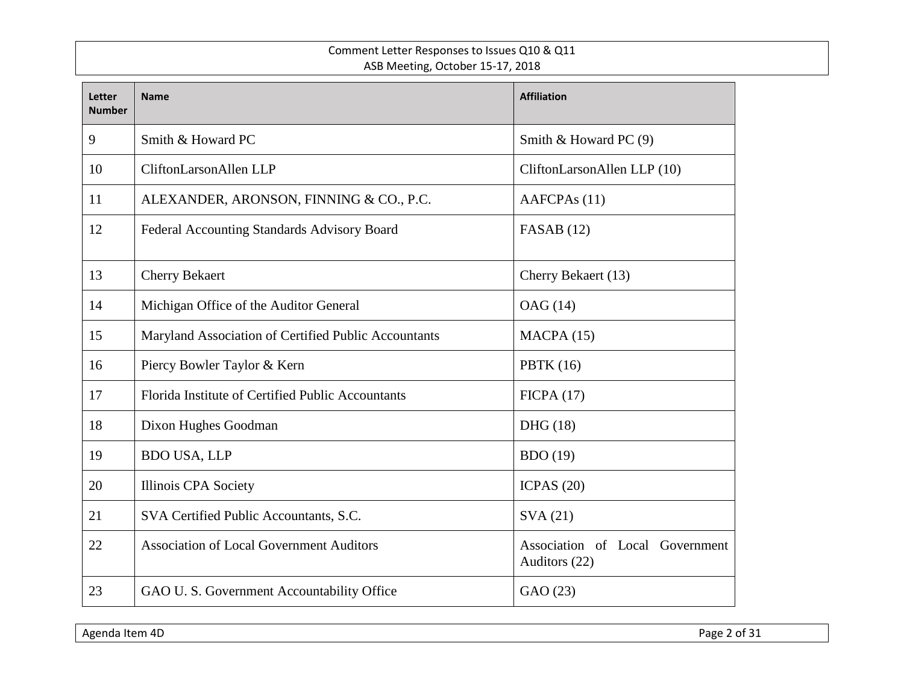#### Comment Letter Responses to Issues Q10 & Q11 ASB Meeting, October 15-17, 2018

| Letter<br><b>Number</b> | <b>Name</b>                                          | <b>Affiliation</b>                               |
|-------------------------|------------------------------------------------------|--------------------------------------------------|
| 9                       | Smith & Howard PC                                    | Smith & Howard PC (9)                            |
| 10                      | CliftonLarsonAllen LLP                               | CliftonLarsonAllen LLP (10)                      |
| 11                      | ALEXANDER, ARONSON, FINNING & CO., P.C.              | AAFCPA <sub>s</sub> (11)                         |
| 12                      | Federal Accounting Standards Advisory Board          | FASAB $(12)$                                     |
| 13                      | <b>Cherry Bekaert</b>                                | Cherry Bekaert (13)                              |
| 14                      | Michigan Office of the Auditor General               | OAG (14)                                         |
| 15                      | Maryland Association of Certified Public Accountants | MACPA(15)                                        |
| 16                      | Piercy Bowler Taylor & Kern                          | <b>PBTK</b> (16)                                 |
| 17                      | Florida Institute of Certified Public Accountants    | FICPA(17)                                        |
| 18                      | Dixon Hughes Goodman                                 | DHG (18)                                         |
| 19                      | <b>BDO USA, LLP</b>                                  | <b>BDO</b> (19)                                  |
| 20                      | Illinois CPA Society                                 | ICPAS $(20)$                                     |
| 21                      | SVA Certified Public Accountants, S.C.               | SVA(21)                                          |
| 22                      | <b>Association of Local Government Auditors</b>      | Association of Local Government<br>Auditors (22) |
| 23                      | GAO U. S. Government Accountability Office           | GAO (23)                                         |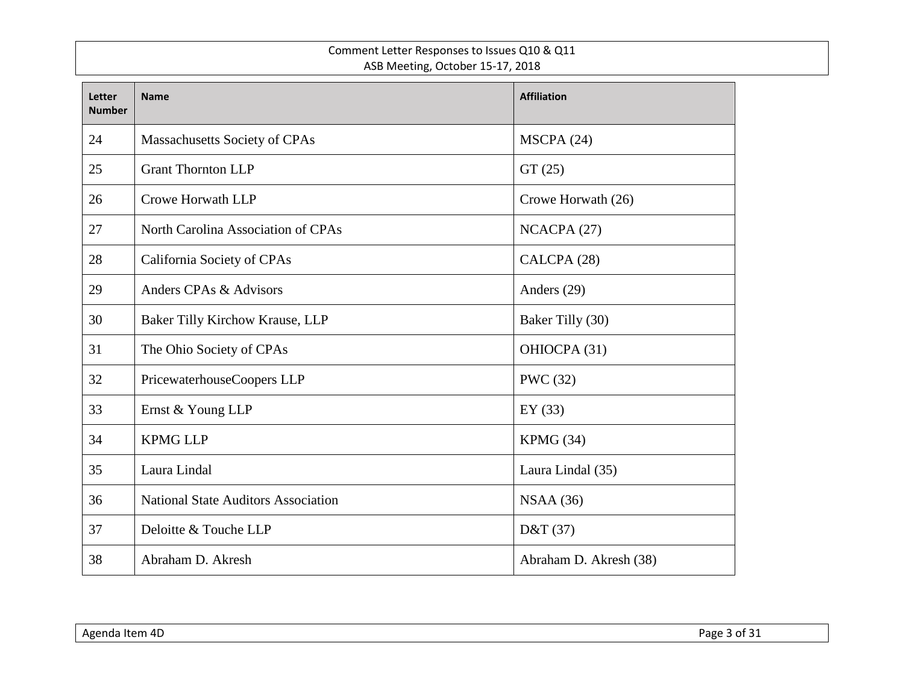#### Comment Letter Responses to Issues Q10 & Q11 ASB Meeting, October 15-17, 2018

| Letter<br><b>Number</b> | <b>Name</b>                                | <b>Affiliation</b>     |
|-------------------------|--------------------------------------------|------------------------|
| 24                      | Massachusetts Society of CPAs              | MSCPA(24)              |
| 25                      | <b>Grant Thornton LLP</b>                  | GT(25)                 |
| 26                      | <b>Crowe Horwath LLP</b>                   | Crowe Horwath (26)     |
| 27                      | North Carolina Association of CPAs         | NCACPA (27)            |
| 28                      | California Society of CPAs                 | CALCPA (28)            |
| 29                      | Anders CPAs & Advisors                     | Anders (29)            |
| 30                      | Baker Tilly Kirchow Krause, LLP            | Baker Tilly (30)       |
| 31                      | The Ohio Society of CPAs                   | OHIOCPA (31)           |
| 32                      | PricewaterhouseCoopers LLP                 | <b>PWC</b> (32)        |
| 33                      | Ernst & Young LLP                          | EY $(33)$              |
| 34                      | <b>KPMG LLP</b>                            | KPMG (34)              |
| 35                      | Laura Lindal                               | Laura Lindal (35)      |
| 36                      | <b>National State Auditors Association</b> | NSAA(36)               |
| 37                      | Deloitte & Touche LLP                      | D&T (37)               |
| 38                      | Abraham D. Akresh                          | Abraham D. Akresh (38) |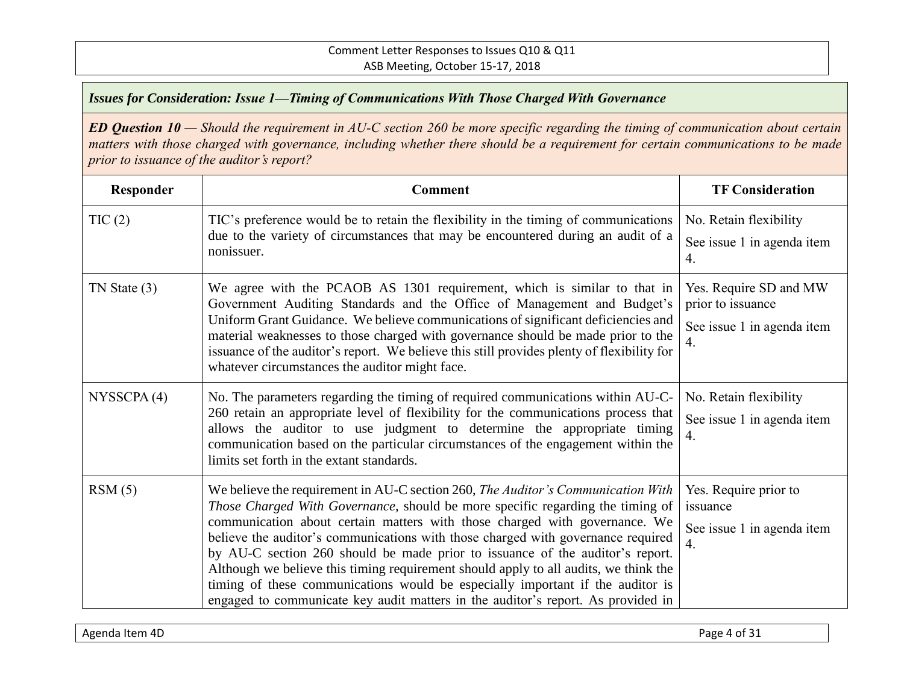| Responder        | <b>Comment</b>                                                                                                                                                                                                                                                                                                                                                                                                                                                                                                                                                                                                                                                                      | <b>TF Consideration</b>                                                             |
|------------------|-------------------------------------------------------------------------------------------------------------------------------------------------------------------------------------------------------------------------------------------------------------------------------------------------------------------------------------------------------------------------------------------------------------------------------------------------------------------------------------------------------------------------------------------------------------------------------------------------------------------------------------------------------------------------------------|-------------------------------------------------------------------------------------|
| TIC(2)           | TIC's preference would be to retain the flexibility in the timing of communications<br>due to the variety of circumstances that may be encountered during an audit of a<br>nonissuer.                                                                                                                                                                                                                                                                                                                                                                                                                                                                                               | No. Retain flexibility<br>See issue 1 in agenda item<br>4.                          |
| $TN$ State $(3)$ | We agree with the PCAOB AS 1301 requirement, which is similar to that in<br>Government Auditing Standards and the Office of Management and Budget's<br>Uniform Grant Guidance. We believe communications of significant deficiencies and<br>material weaknesses to those charged with governance should be made prior to the<br>issuance of the auditor's report. We believe this still provides plenty of flexibility for<br>whatever circumstances the auditor might face.                                                                                                                                                                                                        | Yes. Require SD and MW<br>prior to issuance<br>See issue 1 in agenda item<br>4.     |
| NYSSCPA(4)       | No. The parameters regarding the timing of required communications within AU-C-<br>260 retain an appropriate level of flexibility for the communications process that<br>allows the auditor to use judgment to determine the appropriate timing<br>communication based on the particular circumstances of the engagement within the<br>limits set forth in the extant standards.                                                                                                                                                                                                                                                                                                    | No. Retain flexibility<br>See issue 1 in agenda item<br>4.                          |
| RSM(5)           | We believe the requirement in AU-C section 260, The Auditor's Communication With<br>Those Charged With Governance, should be more specific regarding the timing of<br>communication about certain matters with those charged with governance. We<br>believe the auditor's communications with those charged with governance required<br>by AU-C section 260 should be made prior to issuance of the auditor's report.<br>Although we believe this timing requirement should apply to all audits, we think the<br>timing of these communications would be especially important if the auditor is<br>engaged to communicate key audit matters in the auditor's report. As provided in | Yes. Require prior to<br>issuance<br>See issue 1 in agenda item<br>$\overline{4}$ . |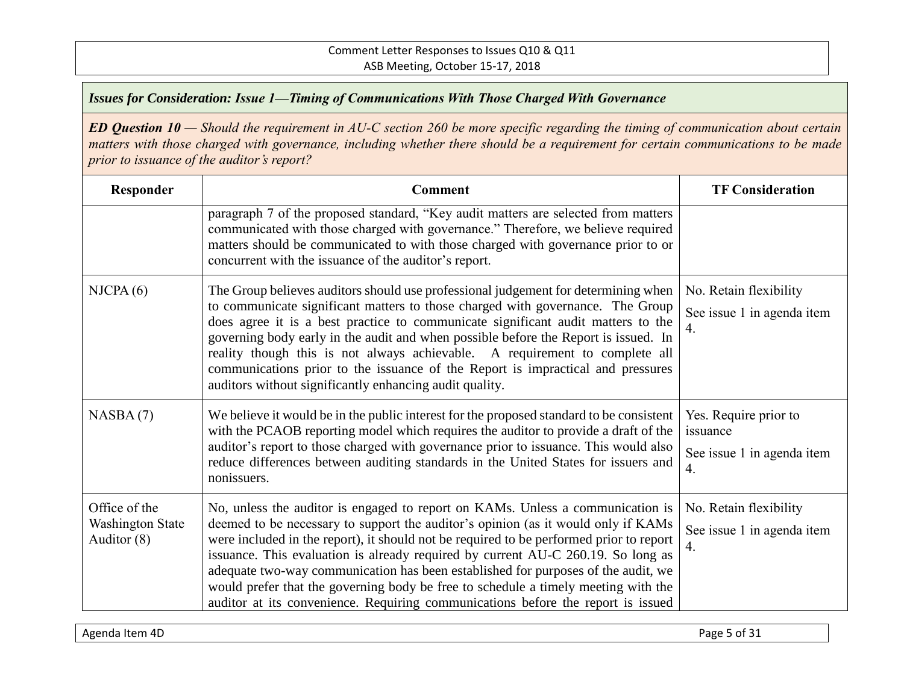*ED Question 10 — Should the requirement in AU-C section 260 be more specific regarding the timing of communication about certain matters with those charged with governance, including whether there should be a requirement for certain communications to be made prior to issuance of the auditor's report?*

| Responder                                               | <b>Comment</b>                                                                                                                                                                                                                                                                                                                                                                                                                                                                                                                                                                                                    | <b>TF Consideration</b>                                                  |
|---------------------------------------------------------|-------------------------------------------------------------------------------------------------------------------------------------------------------------------------------------------------------------------------------------------------------------------------------------------------------------------------------------------------------------------------------------------------------------------------------------------------------------------------------------------------------------------------------------------------------------------------------------------------------------------|--------------------------------------------------------------------------|
|                                                         | paragraph 7 of the proposed standard, "Key audit matters are selected from matters<br>communicated with those charged with governance." Therefore, we believe required<br>matters should be communicated to with those charged with governance prior to or<br>concurrent with the issuance of the auditor's report.                                                                                                                                                                                                                                                                                               |                                                                          |
| NICPA(6)                                                | The Group believes auditors should use professional judgement for determining when<br>to communicate significant matters to those charged with governance. The Group<br>does agree it is a best practice to communicate significant audit matters to the<br>governing body early in the audit and when possible before the Report is issued. In<br>reality though this is not always achievable. A requirement to complete all<br>communications prior to the issuance of the Report is impractical and pressures<br>auditors without significantly enhancing audit quality.                                      | No. Retain flexibility<br>See issue 1 in agenda item<br>4.               |
| NASBA(7)                                                | We believe it would be in the public interest for the proposed standard to be consistent<br>with the PCAOB reporting model which requires the auditor to provide a draft of the<br>auditor's report to those charged with governance prior to issuance. This would also<br>reduce differences between auditing standards in the United States for issuers and<br>nonissuers.                                                                                                                                                                                                                                      | Yes. Require prior to<br>issuance<br>See issue 1 in agenda item<br>4.    |
| Office of the<br><b>Washington State</b><br>Auditor (8) | No, unless the auditor is engaged to report on KAMs. Unless a communication is<br>deemed to be necessary to support the auditor's opinion (as it would only if KAMs<br>were included in the report), it should not be required to be performed prior to report<br>issuance. This evaluation is already required by current AU-C 260.19. So long as<br>adequate two-way communication has been established for purposes of the audit, we<br>would prefer that the governing body be free to schedule a timely meeting with the<br>auditor at its convenience. Requiring communications before the report is issued | No. Retain flexibility<br>See issue 1 in agenda item<br>$\overline{4}$ . |

Agenda Item 4D Page 5 of 31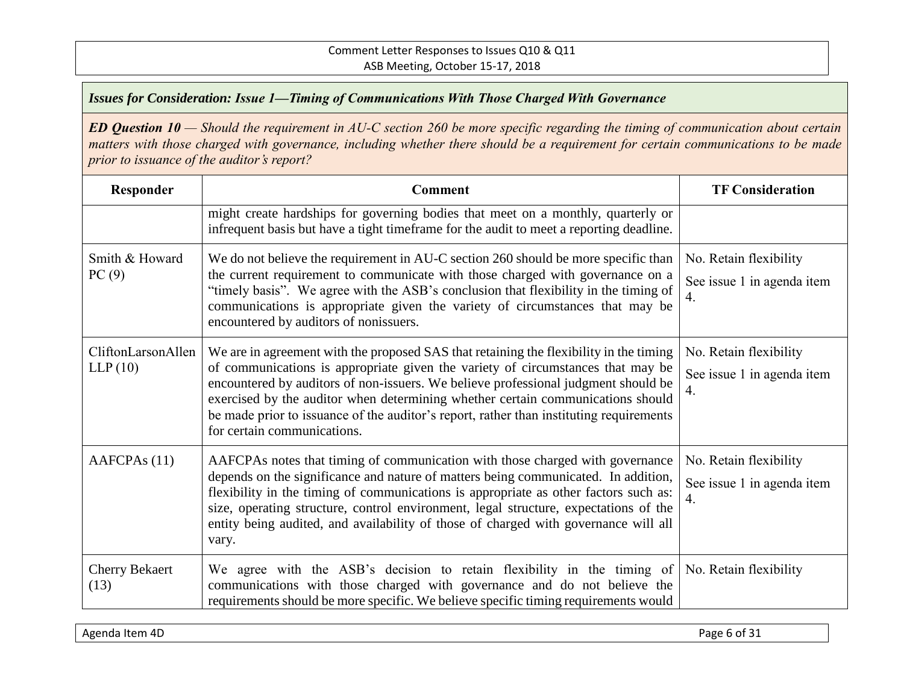| Responder                     | <b>Comment</b>                                                                                                                                                                                                                                                                                                                                                                                                                                                               | <b>TF Consideration</b>                                    |
|-------------------------------|------------------------------------------------------------------------------------------------------------------------------------------------------------------------------------------------------------------------------------------------------------------------------------------------------------------------------------------------------------------------------------------------------------------------------------------------------------------------------|------------------------------------------------------------|
|                               | might create hardships for governing bodies that meet on a monthly, quarterly or<br>infrequent basis but have a tight timeframe for the audit to meet a reporting deadline.                                                                                                                                                                                                                                                                                                  |                                                            |
| Smith & Howard<br>PC(9)       | We do not believe the requirement in AU-C section 260 should be more specific than<br>the current requirement to communicate with those charged with governance on a<br>"timely basis". We agree with the ASB's conclusion that flexibility in the timing of<br>communications is appropriate given the variety of circumstances that may be<br>encountered by auditors of nonissuers.                                                                                       | No. Retain flexibility<br>See issue 1 in agenda item<br>4. |
| CliftonLarsonAllen<br>LLP(10) | We are in agreement with the proposed SAS that retaining the flexibility in the timing<br>of communications is appropriate given the variety of circumstances that may be<br>encountered by auditors of non-issuers. We believe professional judgment should be<br>exercised by the auditor when determining whether certain communications should<br>be made prior to issuance of the auditor's report, rather than instituting requirements<br>for certain communications. | No. Retain flexibility<br>See issue 1 in agenda item<br>4. |
| AAFCPA <sub>s</sub> (11)      | AAFCPAs notes that timing of communication with those charged with governance<br>depends on the significance and nature of matters being communicated. In addition,<br>flexibility in the timing of communications is appropriate as other factors such as:<br>size, operating structure, control environment, legal structure, expectations of the<br>entity being audited, and availability of those of charged with governance will all<br>vary.                          | No. Retain flexibility<br>See issue 1 in agenda item<br>4. |
| <b>Cherry Bekaert</b><br>(13) | We agree with the ASB's decision to retain flexibility in the timing of<br>communications with those charged with governance and do not believe the<br>requirements should be more specific. We believe specific timing requirements would                                                                                                                                                                                                                                   | No. Retain flexibility                                     |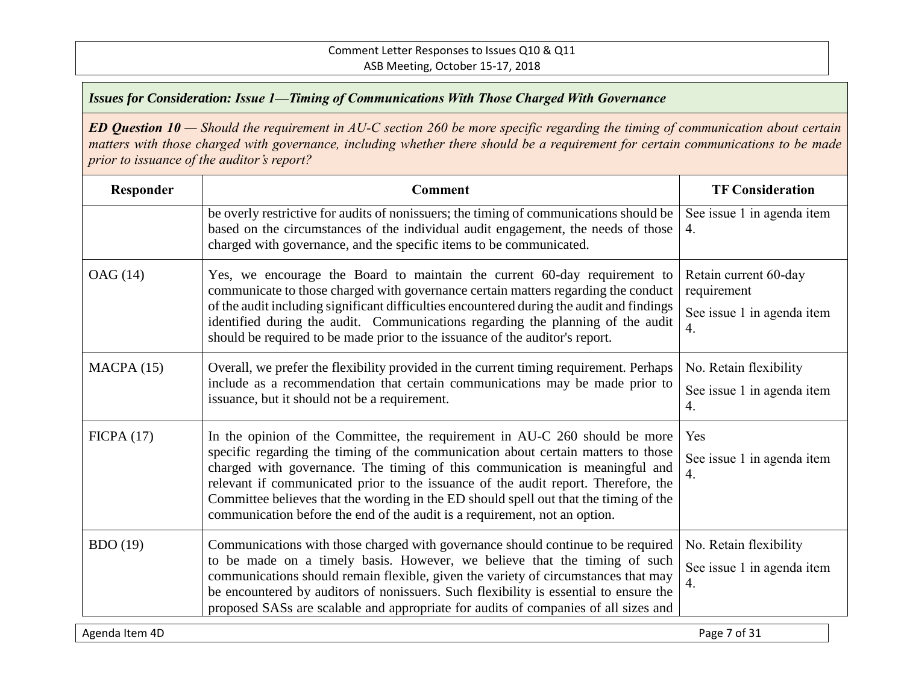*ED Question 10 — Should the requirement in AU-C section 260 be more specific regarding the timing of communication about certain matters with those charged with governance, including whether there should be a requirement for certain communications to be made prior to issuance of the auditor's report?*

| Responder       | <b>Comment</b>                                                                                                                                                                                                                                                                                                                                                                                                                                                                                               | <b>TF Consideration</b>                                                  |
|-----------------|--------------------------------------------------------------------------------------------------------------------------------------------------------------------------------------------------------------------------------------------------------------------------------------------------------------------------------------------------------------------------------------------------------------------------------------------------------------------------------------------------------------|--------------------------------------------------------------------------|
|                 | be overly restrictive for audits of nonissuers; the timing of communications should be<br>based on the circumstances of the individual audit engagement, the needs of those<br>charged with governance, and the specific items to be communicated.                                                                                                                                                                                                                                                           | See issue 1 in agenda item<br>4.                                         |
| OAG (14)        | Yes, we encourage the Board to maintain the current 60-day requirement to<br>communicate to those charged with governance certain matters regarding the conduct<br>of the audit including significant difficulties encountered during the audit and findings<br>identified during the audit. Communications regarding the planning of the audit<br>should be required to be made prior to the issuance of the auditor's report.                                                                              | Retain current 60-day<br>requirement<br>See issue 1 in agenda item<br>4. |
| MACPA(15)       | Overall, we prefer the flexibility provided in the current timing requirement. Perhaps<br>include as a recommendation that certain communications may be made prior to<br>issuance, but it should not be a requirement.                                                                                                                                                                                                                                                                                      | No. Retain flexibility<br>See issue 1 in agenda item<br>4.               |
| FICPA(17)       | In the opinion of the Committee, the requirement in AU-C 260 should be more<br>specific regarding the timing of the communication about certain matters to those<br>charged with governance. The timing of this communication is meaningful and<br>relevant if communicated prior to the issuance of the audit report. Therefore, the<br>Committee believes that the wording in the ED should spell out that the timing of the<br>communication before the end of the audit is a requirement, not an option. | Yes<br>See issue 1 in agenda item<br>4.                                  |
| <b>BDO</b> (19) | Communications with those charged with governance should continue to be required<br>to be made on a timely basis. However, we believe that the timing of such<br>communications should remain flexible, given the variety of circumstances that may<br>be encountered by auditors of nonissuers. Such flexibility is essential to ensure the<br>proposed SASs are scalable and appropriate for audits of companies of all sizes and                                                                          | No. Retain flexibility<br>See issue 1 in agenda item<br>$\overline{4}$ . |

Agenda Item 4D Page 7 of 31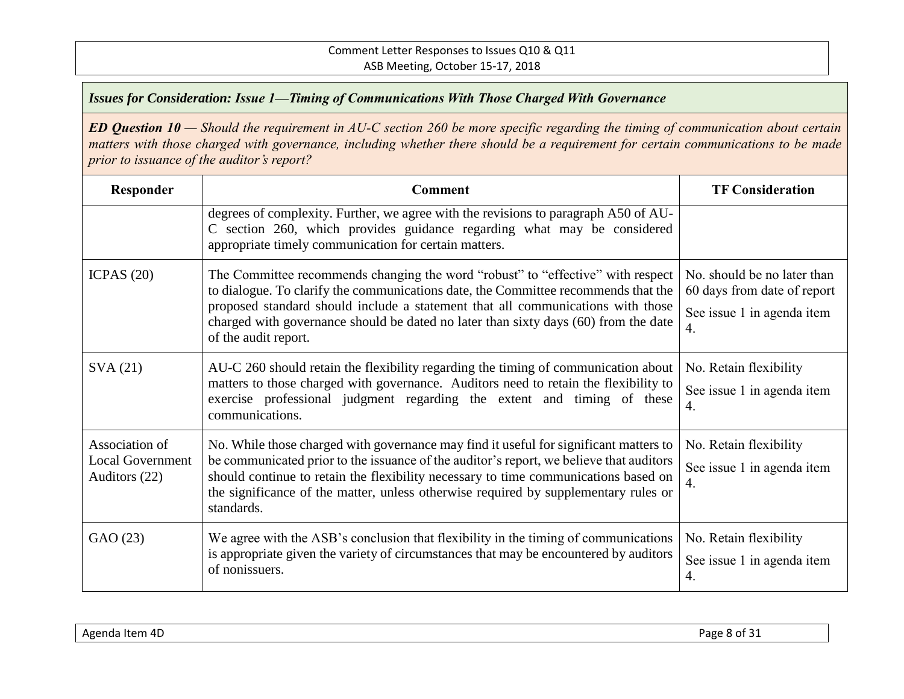| Responder                                                  | Comment                                                                                                                                                                                                                                                                                                                                                                      | <b>TF Consideration</b>                                                                        |
|------------------------------------------------------------|------------------------------------------------------------------------------------------------------------------------------------------------------------------------------------------------------------------------------------------------------------------------------------------------------------------------------------------------------------------------------|------------------------------------------------------------------------------------------------|
|                                                            | degrees of complexity. Further, we agree with the revisions to paragraph A50 of AU-<br>C section 260, which provides guidance regarding what may be considered<br>appropriate timely communication for certain matters.                                                                                                                                                      |                                                                                                |
| ICPAS $(20)$                                               | The Committee recommends changing the word "robust" to "effective" with respect<br>to dialogue. To clarify the communications date, the Committee recommends that the<br>proposed standard should include a statement that all communications with those<br>charged with governance should be dated no later than sixty days (60) from the date<br>of the audit report.      | No. should be no later than<br>60 days from date of report<br>See issue 1 in agenda item<br>4. |
| SVA(21)                                                    | AU-C 260 should retain the flexibility regarding the timing of communication about<br>matters to those charged with governance. Auditors need to retain the flexibility to<br>exercise professional judgment regarding the extent and timing of these<br>communications.                                                                                                     | No. Retain flexibility<br>See issue 1 in agenda item<br>4.                                     |
| Association of<br><b>Local Government</b><br>Auditors (22) | No. While those charged with governance may find it useful for significant matters to<br>be communicated prior to the issuance of the auditor's report, we believe that auditors<br>should continue to retain the flexibility necessary to time communications based on<br>the significance of the matter, unless otherwise required by supplementary rules or<br>standards. | No. Retain flexibility<br>See issue 1 in agenda item<br>$\overline{4}$ .                       |
| GAO (23)                                                   | We agree with the ASB's conclusion that flexibility in the timing of communications<br>is appropriate given the variety of circumstances that may be encountered by auditors<br>of nonissuers.                                                                                                                                                                               | No. Retain flexibility<br>See issue 1 in agenda item<br>4.                                     |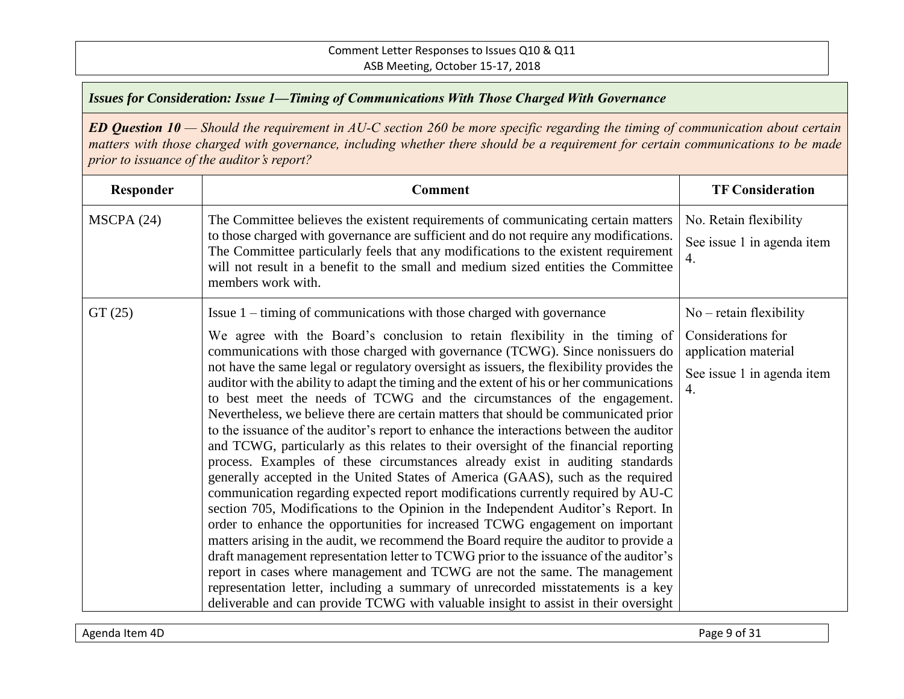| Responder | <b>Comment</b>                                                                                                                                                                                                                                                                                                                                                                                                                                                                                                                                                                                                                                                                                                                                                                                                                                                                                                                                                                                                                                                                                                                                                                                                                                                                                                                                                                                                                                                                                                                                                                                                                                             | <b>TF Consideration</b>                                                                                                   |
|-----------|------------------------------------------------------------------------------------------------------------------------------------------------------------------------------------------------------------------------------------------------------------------------------------------------------------------------------------------------------------------------------------------------------------------------------------------------------------------------------------------------------------------------------------------------------------------------------------------------------------------------------------------------------------------------------------------------------------------------------------------------------------------------------------------------------------------------------------------------------------------------------------------------------------------------------------------------------------------------------------------------------------------------------------------------------------------------------------------------------------------------------------------------------------------------------------------------------------------------------------------------------------------------------------------------------------------------------------------------------------------------------------------------------------------------------------------------------------------------------------------------------------------------------------------------------------------------------------------------------------------------------------------------------------|---------------------------------------------------------------------------------------------------------------------------|
| MSCPA(24) | The Committee believes the existent requirements of communicating certain matters<br>to those charged with governance are sufficient and do not require any modifications.<br>The Committee particularly feels that any modifications to the existent requirement<br>will not result in a benefit to the small and medium sized entities the Committee<br>members work with.                                                                                                                                                                                                                                                                                                                                                                                                                                                                                                                                                                                                                                                                                                                                                                                                                                                                                                                                                                                                                                                                                                                                                                                                                                                                               | No. Retain flexibility<br>See issue 1 in agenda item<br>4.                                                                |
| GT(25)    | Issue 1 – timing of communications with those charged with governance<br>We agree with the Board's conclusion to retain flexibility in the timing of<br>communications with those charged with governance (TCWG). Since nonissuers do<br>not have the same legal or regulatory oversight as issuers, the flexibility provides the<br>auditor with the ability to adapt the timing and the extent of his or her communications<br>to best meet the needs of TCWG and the circumstances of the engagement.<br>Nevertheless, we believe there are certain matters that should be communicated prior<br>to the issuance of the auditor's report to enhance the interactions between the auditor<br>and TCWG, particularly as this relates to their oversight of the financial reporting<br>process. Examples of these circumstances already exist in auditing standards<br>generally accepted in the United States of America (GAAS), such as the required<br>communication regarding expected report modifications currently required by AU-C<br>section 705, Modifications to the Opinion in the Independent Auditor's Report. In<br>order to enhance the opportunities for increased TCWG engagement on important<br>matters arising in the audit, we recommend the Board require the auditor to provide a<br>draft management representation letter to TCWG prior to the issuance of the auditor's<br>report in cases where management and TCWG are not the same. The management<br>representation letter, including a summary of unrecorded misstatements is a key<br>deliverable and can provide TCWG with valuable insight to assist in their oversight | $No - retain flexibility$<br>Considerations for<br>application material<br>See issue 1 in agenda item<br>$\overline{4}$ . |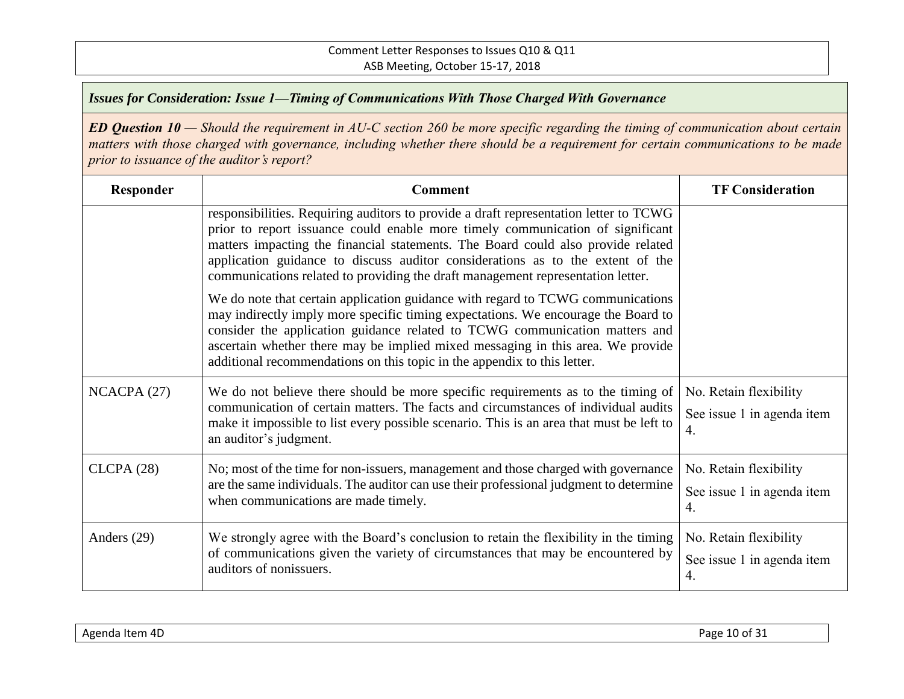| Responder   | <b>Comment</b>                                                                                                                                                                                                                                                                                                                                                                                                                   | <b>TF Consideration</b>                                    |
|-------------|----------------------------------------------------------------------------------------------------------------------------------------------------------------------------------------------------------------------------------------------------------------------------------------------------------------------------------------------------------------------------------------------------------------------------------|------------------------------------------------------------|
|             | responsibilities. Requiring auditors to provide a draft representation letter to TCWG<br>prior to report issuance could enable more timely communication of significant<br>matters impacting the financial statements. The Board could also provide related<br>application guidance to discuss auditor considerations as to the extent of the<br>communications related to providing the draft management representation letter. |                                                            |
|             | We do note that certain application guidance with regard to TCWG communications<br>may indirectly imply more specific timing expectations. We encourage the Board to<br>consider the application guidance related to TCWG communication matters and<br>ascertain whether there may be implied mixed messaging in this area. We provide<br>additional recommendations on this topic in the appendix to this letter.               |                                                            |
| NCACPA(27)  | We do not believe there should be more specific requirements as to the timing of<br>communication of certain matters. The facts and circumstances of individual audits<br>make it impossible to list every possible scenario. This is an area that must be left to<br>an auditor's judgment.                                                                                                                                     | No. Retain flexibility<br>See issue 1 in agenda item<br>4. |
| CLCPA(28)   | No; most of the time for non-issuers, management and those charged with governance<br>are the same individuals. The auditor can use their professional judgment to determine<br>when communications are made timely.                                                                                                                                                                                                             | No. Retain flexibility<br>See issue 1 in agenda item<br>4. |
| Anders (29) | We strongly agree with the Board's conclusion to retain the flexibility in the timing<br>of communications given the variety of circumstances that may be encountered by<br>auditors of nonissuers.                                                                                                                                                                                                                              | No. Retain flexibility<br>See issue 1 in agenda item<br>4. |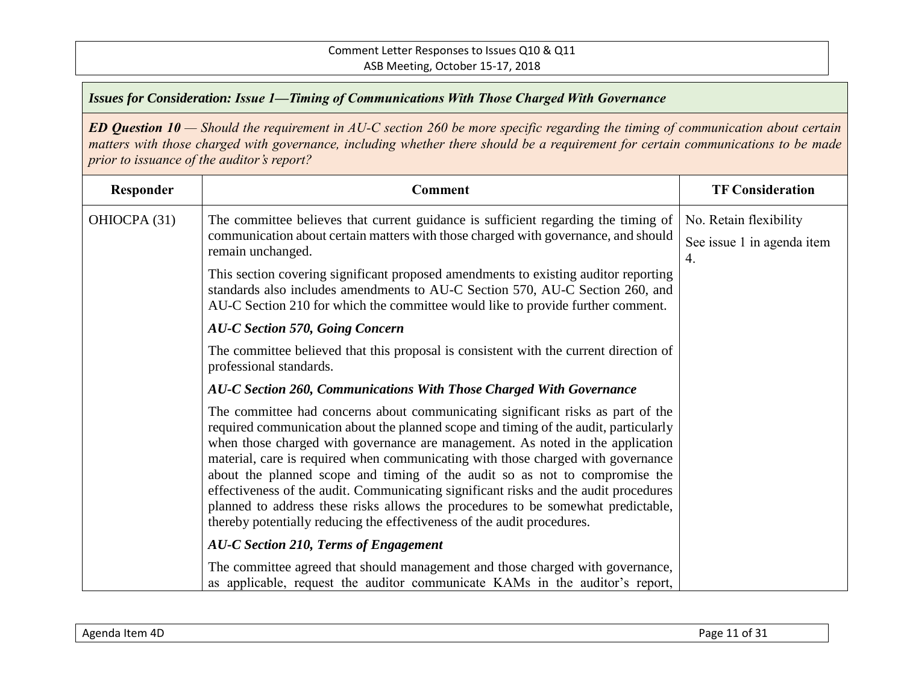| Responder    | <b>Comment</b>                                                                                                                                                                                                                                                                                                                                                                                                                                                                                                                                                                                                                                                                      | <b>TF Consideration</b>                              |
|--------------|-------------------------------------------------------------------------------------------------------------------------------------------------------------------------------------------------------------------------------------------------------------------------------------------------------------------------------------------------------------------------------------------------------------------------------------------------------------------------------------------------------------------------------------------------------------------------------------------------------------------------------------------------------------------------------------|------------------------------------------------------|
| OHIOCPA (31) | The committee believes that current guidance is sufficient regarding the timing of<br>communication about certain matters with those charged with governance, and should<br>remain unchanged.                                                                                                                                                                                                                                                                                                                                                                                                                                                                                       | No. Retain flexibility<br>See issue 1 in agenda item |
|              | This section covering significant proposed amendments to existing auditor reporting<br>standards also includes amendments to AU-C Section 570, AU-C Section 260, and<br>AU-C Section 210 for which the committee would like to provide further comment.                                                                                                                                                                                                                                                                                                                                                                                                                             | 4.                                                   |
|              | <b>AU-C Section 570, Going Concern</b>                                                                                                                                                                                                                                                                                                                                                                                                                                                                                                                                                                                                                                              |                                                      |
|              | The committee believed that this proposal is consistent with the current direction of<br>professional standards.                                                                                                                                                                                                                                                                                                                                                                                                                                                                                                                                                                    |                                                      |
|              | AU-C Section 260, Communications With Those Charged With Governance                                                                                                                                                                                                                                                                                                                                                                                                                                                                                                                                                                                                                 |                                                      |
|              | The committee had concerns about communicating significant risks as part of the<br>required communication about the planned scope and timing of the audit, particularly<br>when those charged with governance are management. As noted in the application<br>material, care is required when communicating with those charged with governance<br>about the planned scope and timing of the audit so as not to compromise the<br>effectiveness of the audit. Communicating significant risks and the audit procedures<br>planned to address these risks allows the procedures to be somewhat predictable,<br>thereby potentially reducing the effectiveness of the audit procedures. |                                                      |
|              | AU-C Section 210, Terms of Engagement                                                                                                                                                                                                                                                                                                                                                                                                                                                                                                                                                                                                                                               |                                                      |
|              | The committee agreed that should management and those charged with governance,<br>as applicable, request the auditor communicate KAMs in the auditor's report,                                                                                                                                                                                                                                                                                                                                                                                                                                                                                                                      |                                                      |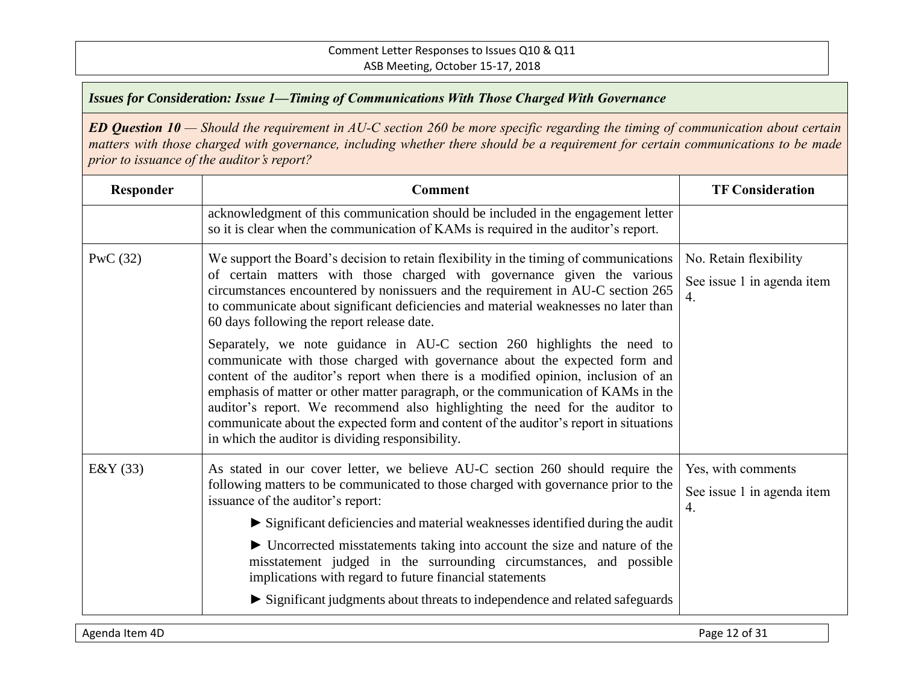| Responder  | <b>Comment</b>                                                                                                                                                                                                                                                                                                                                                                                                                                                                                                                                               | <b>TF Consideration</b>                                    |
|------------|--------------------------------------------------------------------------------------------------------------------------------------------------------------------------------------------------------------------------------------------------------------------------------------------------------------------------------------------------------------------------------------------------------------------------------------------------------------------------------------------------------------------------------------------------------------|------------------------------------------------------------|
|            | acknowledgment of this communication should be included in the engagement letter<br>so it is clear when the communication of KAMs is required in the auditor's report.                                                                                                                                                                                                                                                                                                                                                                                       |                                                            |
| PwC $(32)$ | We support the Board's decision to retain flexibility in the timing of communications<br>of certain matters with those charged with governance given the various<br>circumstances encountered by nonissuers and the requirement in AU-C section 265<br>to communicate about significant deficiencies and material weaknesses no later than<br>60 days following the report release date.                                                                                                                                                                     | No. Retain flexibility<br>See issue 1 in agenda item<br>4. |
|            | Separately, we note guidance in AU-C section 260 highlights the need to<br>communicate with those charged with governance about the expected form and<br>content of the auditor's report when there is a modified opinion, inclusion of an<br>emphasis of matter or other matter paragraph, or the communication of KAMs in the<br>auditor's report. We recommend also highlighting the need for the auditor to<br>communicate about the expected form and content of the auditor's report in situations<br>in which the auditor is dividing responsibility. |                                                            |
| E&Y(33)    | As stated in our cover letter, we believe AU-C section 260 should require the<br>following matters to be communicated to those charged with governance prior to the<br>issuance of the auditor's report:<br>$\triangleright$ Significant deficiencies and material weaknesses identified during the audit<br>• Uncorrected misstatements taking into account the size and nature of the                                                                                                                                                                      | Yes, with comments<br>See issue 1 in agenda item<br>4.     |
|            | misstatement judged in the surrounding circumstances, and possible<br>implications with regard to future financial statements<br>Significant judgments about threats to independence and related safeguards                                                                                                                                                                                                                                                                                                                                                  |                                                            |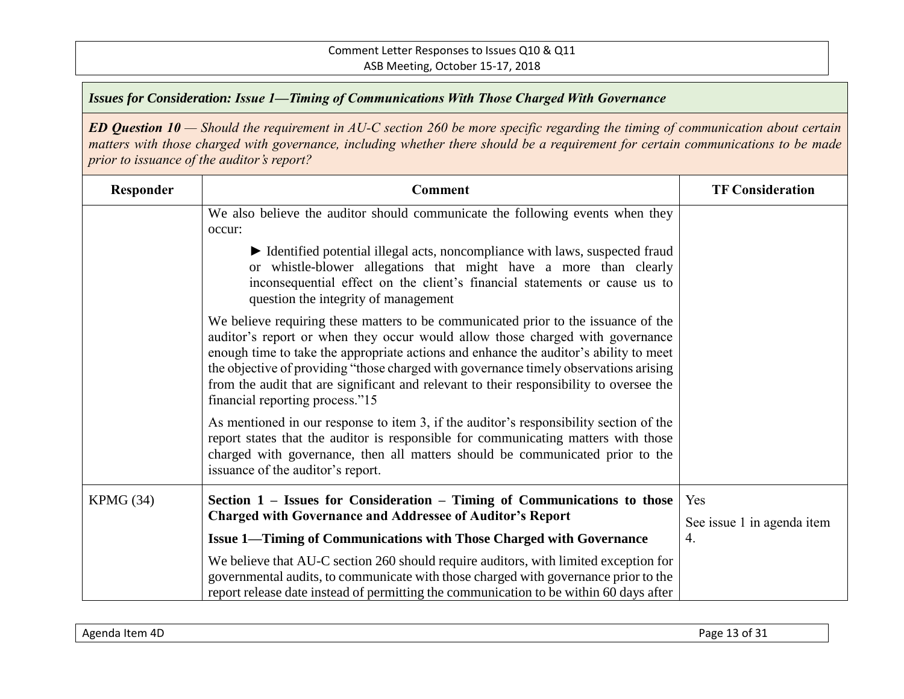| Responder | <b>Comment</b>                                                                                                                                                                                                                                                                                                                                                                                                                                                                      | <b>TF Consideration</b>           |
|-----------|-------------------------------------------------------------------------------------------------------------------------------------------------------------------------------------------------------------------------------------------------------------------------------------------------------------------------------------------------------------------------------------------------------------------------------------------------------------------------------------|-----------------------------------|
|           | We also believe the auditor should communicate the following events when they<br>occur:                                                                                                                                                                                                                                                                                                                                                                                             |                                   |
|           | • Identified potential illegal acts, noncompliance with laws, suspected fraud<br>or whistle-blower allegations that might have a more than clearly<br>inconsequential effect on the client's financial statements or cause us to<br>question the integrity of management                                                                                                                                                                                                            |                                   |
|           | We believe requiring these matters to be communicated prior to the issuance of the<br>auditor's report or when they occur would allow those charged with governance<br>enough time to take the appropriate actions and enhance the auditor's ability to meet<br>the objective of providing "those charged with governance timely observations arising<br>from the audit that are significant and relevant to their responsibility to oversee the<br>financial reporting process."15 |                                   |
|           | As mentioned in our response to item 3, if the auditor's responsibility section of the<br>report states that the auditor is responsible for communicating matters with those<br>charged with governance, then all matters should be communicated prior to the<br>issuance of the auditor's report.                                                                                                                                                                                  |                                   |
| KPMG (34) | Section 1 – Issues for Consideration – Timing of Communications to those<br><b>Charged with Governance and Addressee of Auditor's Report</b>                                                                                                                                                                                                                                                                                                                                        | Yes<br>See issue 1 in agenda item |
|           | <b>Issue 1—Timing of Communications with Those Charged with Governance</b>                                                                                                                                                                                                                                                                                                                                                                                                          | $\overline{4}$ .                  |
|           | We believe that AU-C section 260 should require auditors, with limited exception for<br>governmental audits, to communicate with those charged with governance prior to the<br>report release date instead of permitting the communication to be within 60 days after                                                                                                                                                                                                               |                                   |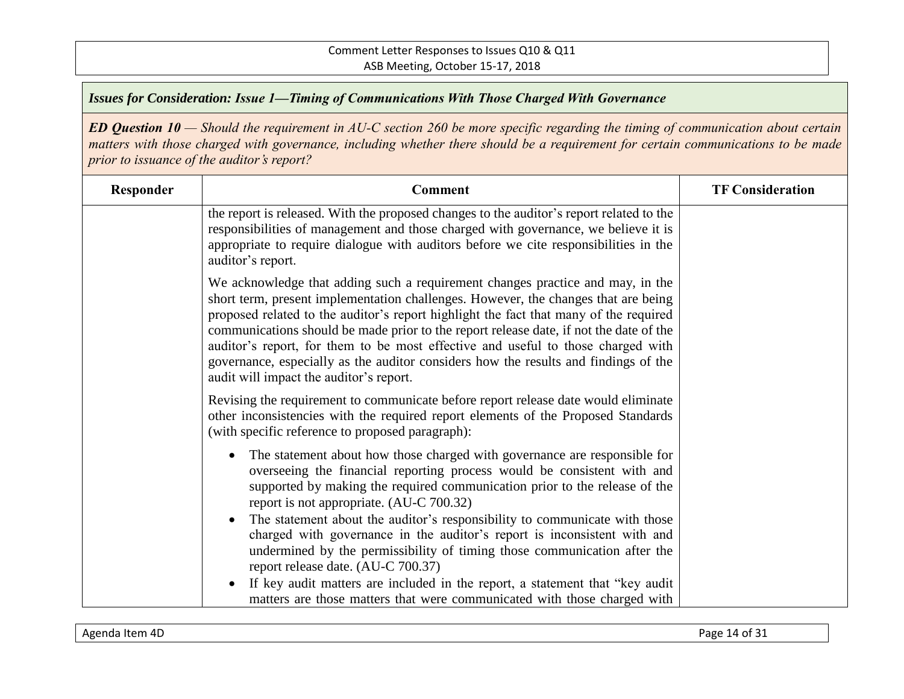| Responder | <b>Comment</b>                                                                                                                                                                                                                                                                                                                                                                                                                                                                                                                                                                | <b>TF Consideration</b> |
|-----------|-------------------------------------------------------------------------------------------------------------------------------------------------------------------------------------------------------------------------------------------------------------------------------------------------------------------------------------------------------------------------------------------------------------------------------------------------------------------------------------------------------------------------------------------------------------------------------|-------------------------|
|           | the report is released. With the proposed changes to the auditor's report related to the<br>responsibilities of management and those charged with governance, we believe it is<br>appropriate to require dialogue with auditors before we cite responsibilities in the<br>auditor's report.                                                                                                                                                                                                                                                                                   |                         |
|           | We acknowledge that adding such a requirement changes practice and may, in the<br>short term, present implementation challenges. However, the changes that are being<br>proposed related to the auditor's report highlight the fact that many of the required<br>communications should be made prior to the report release date, if not the date of the<br>auditor's report, for them to be most effective and useful to those charged with<br>governance, especially as the auditor considers how the results and findings of the<br>audit will impact the auditor's report. |                         |
|           | Revising the requirement to communicate before report release date would eliminate<br>other inconsistencies with the required report elements of the Proposed Standards<br>(with specific reference to proposed paragraph):                                                                                                                                                                                                                                                                                                                                                   |                         |
|           | The statement about how those charged with governance are responsible for<br>$\bullet$<br>overseeing the financial reporting process would be consistent with and<br>supported by making the required communication prior to the release of the<br>report is not appropriate. (AU-C 700.32)<br>The statement about the auditor's responsibility to communicate with those<br>$\bullet$                                                                                                                                                                                        |                         |
|           | charged with governance in the auditor's report is inconsistent with and<br>undermined by the permissibility of timing those communication after the<br>report release date. (AU-C 700.37)<br>If key audit matters are included in the report, a statement that "key audit<br>٠<br>matters are those matters that were communicated with those charged with                                                                                                                                                                                                                   |                         |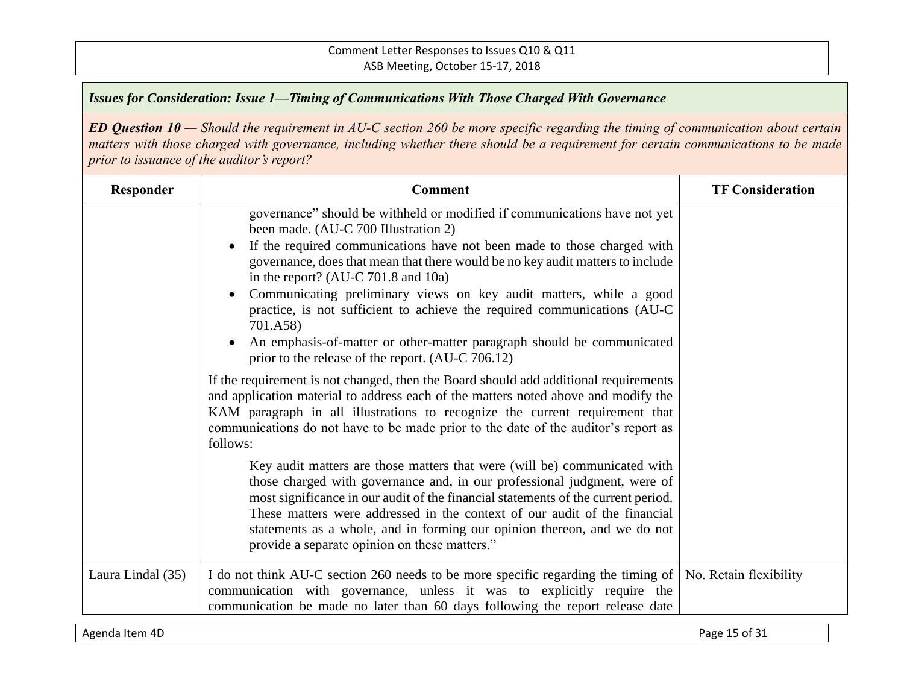*ED Question 10 — Should the requirement in AU-C section 260 be more specific regarding the timing of communication about certain matters with those charged with governance, including whether there should be a requirement for certain communications to be made prior to issuance of the auditor's report?*

| Responder         | <b>Comment</b>                                                                                                                                                                                                                                                                                                                                                                                                                                                                                                                                                                                                          | <b>TF Consideration</b> |
|-------------------|-------------------------------------------------------------------------------------------------------------------------------------------------------------------------------------------------------------------------------------------------------------------------------------------------------------------------------------------------------------------------------------------------------------------------------------------------------------------------------------------------------------------------------------------------------------------------------------------------------------------------|-------------------------|
|                   | governance" should be withheld or modified if communications have not yet<br>been made. (AU-C 700 Illustration 2)<br>If the required communications have not been made to those charged with<br>governance, does that mean that there would be no key audit matters to include<br>in the report? (AU-C $701.8$ and $10a$ )<br>Communicating preliminary views on key audit matters, while a good<br>practice, is not sufficient to achieve the required communications (AU-C<br>701.A58)<br>An emphasis-of-matter or other-matter paragraph should be communicated<br>prior to the release of the report. (AU-C 706.12) |                         |
|                   | If the requirement is not changed, then the Board should add additional requirements<br>and application material to address each of the matters noted above and modify the<br>KAM paragraph in all illustrations to recognize the current requirement that<br>communications do not have to be made prior to the date of the auditor's report as<br>follows:                                                                                                                                                                                                                                                            |                         |
|                   | Key audit matters are those matters that were (will be) communicated with<br>those charged with governance and, in our professional judgment, were of<br>most significance in our audit of the financial statements of the current period.<br>These matters were addressed in the context of our audit of the financial<br>statements as a whole, and in forming our opinion thereon, and we do not<br>provide a separate opinion on these matters."                                                                                                                                                                    |                         |
| Laura Lindal (35) | I do not think AU-C section 260 needs to be more specific regarding the timing of<br>communication with governance, unless it was to explicitly require the<br>communication be made no later than 60 days following the report release date                                                                                                                                                                                                                                                                                                                                                                            | No. Retain flexibility  |

Agenda Item 4D Page 15 of 31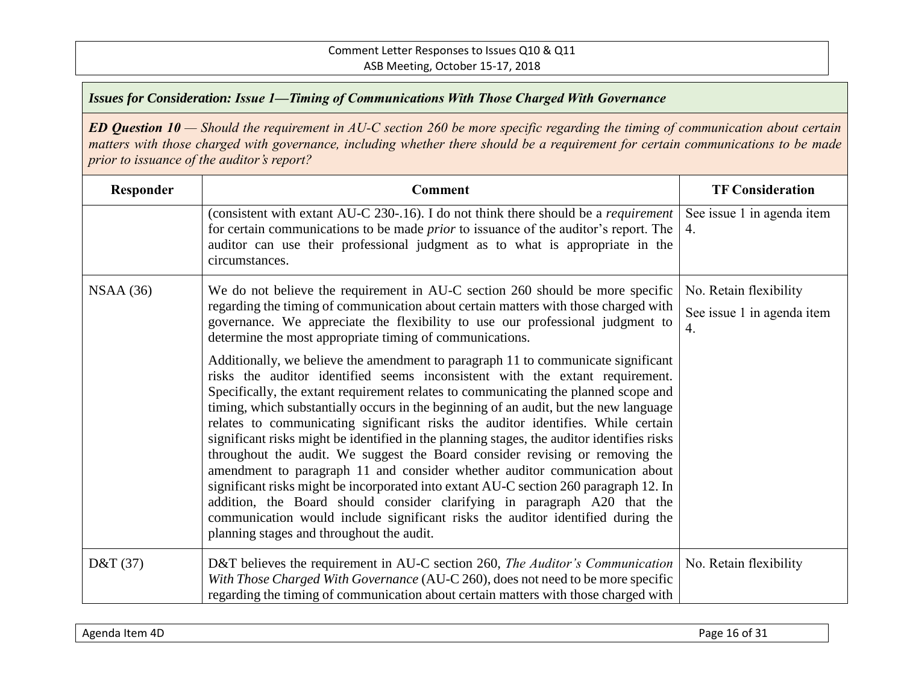| Responder  | <b>Comment</b>                                                                                                                                                                                                                                                                                                                                                                                                                                                                                                                                                                                                                                                                                                                                                                                                                                                                                                                                                                                         | <b>TF Consideration</b>                                    |
|------------|--------------------------------------------------------------------------------------------------------------------------------------------------------------------------------------------------------------------------------------------------------------------------------------------------------------------------------------------------------------------------------------------------------------------------------------------------------------------------------------------------------------------------------------------------------------------------------------------------------------------------------------------------------------------------------------------------------------------------------------------------------------------------------------------------------------------------------------------------------------------------------------------------------------------------------------------------------------------------------------------------------|------------------------------------------------------------|
|            | (consistent with extant AU-C 230-.16). I do not think there should be a <i>requirement</i><br>for certain communications to be made <i>prior</i> to issuance of the auditor's report. The<br>auditor can use their professional judgment as to what is appropriate in the<br>circumstances.                                                                                                                                                                                                                                                                                                                                                                                                                                                                                                                                                                                                                                                                                                            | See issue 1 in agenda item<br>4.                           |
| NSAA(36)   | We do not believe the requirement in AU-C section 260 should be more specific<br>regarding the timing of communication about certain matters with those charged with<br>governance. We appreciate the flexibility to use our professional judgment to<br>determine the most appropriate timing of communications.                                                                                                                                                                                                                                                                                                                                                                                                                                                                                                                                                                                                                                                                                      | No. Retain flexibility<br>See issue 1 in agenda item<br>4. |
|            | Additionally, we believe the amendment to paragraph 11 to communicate significant<br>risks the auditor identified seems inconsistent with the extant requirement.<br>Specifically, the extant requirement relates to communicating the planned scope and<br>timing, which substantially occurs in the beginning of an audit, but the new language<br>relates to communicating significant risks the auditor identifies. While certain<br>significant risks might be identified in the planning stages, the auditor identifies risks<br>throughout the audit. We suggest the Board consider revising or removing the<br>amendment to paragraph 11 and consider whether auditor communication about<br>significant risks might be incorporated into extant AU-C section 260 paragraph 12. In<br>addition, the Board should consider clarifying in paragraph A20 that the<br>communication would include significant risks the auditor identified during the<br>planning stages and throughout the audit. |                                                            |
| D&T $(37)$ | D&T believes the requirement in AU-C section 260, The Auditor's Communication<br>With Those Charged With Governance (AU-C 260), does not need to be more specific<br>regarding the timing of communication about certain matters with those charged with                                                                                                                                                                                                                                                                                                                                                                                                                                                                                                                                                                                                                                                                                                                                               | No. Retain flexibility                                     |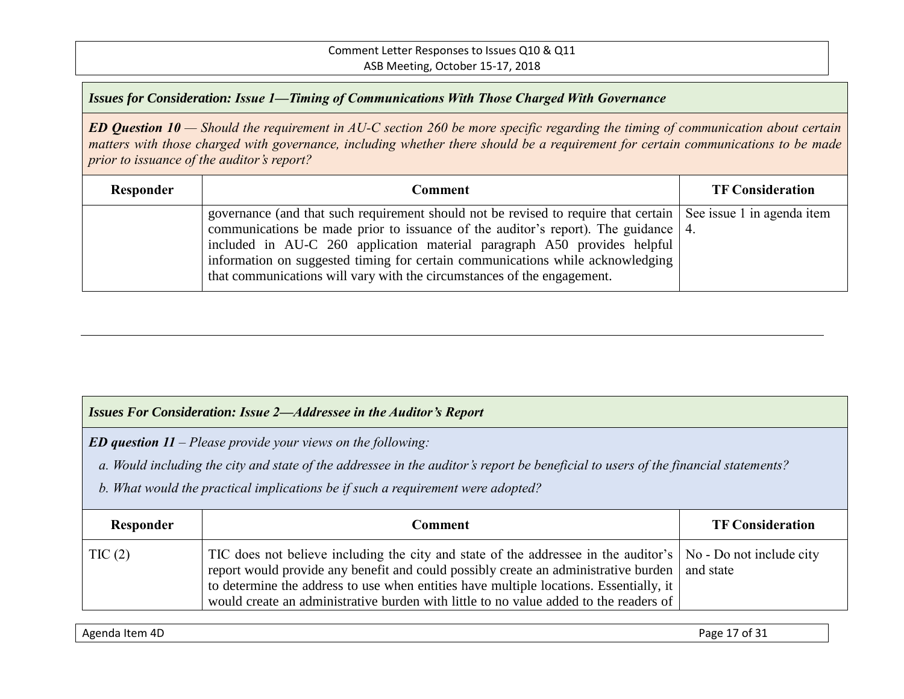#### Comment Letter Responses to Issues Q10 & Q11 ASB Meeting, October 15-17, 2018

*Issues for Consideration: Issue 1—Timing of Communications With Those Charged With Governance*

*ED Question 10 — Should the requirement in AU-C section 260 be more specific regarding the timing of communication about certain matters with those charged with governance, including whether there should be a requirement for certain communications to be made prior to issuance of the auditor's report?*

| Responder | Comment                                                                                                                                                                                                                                                                                                                                                                                                                                         | <b>TF Consideration</b> |
|-----------|-------------------------------------------------------------------------------------------------------------------------------------------------------------------------------------------------------------------------------------------------------------------------------------------------------------------------------------------------------------------------------------------------------------------------------------------------|-------------------------|
|           | governance (and that such requirement should not be revised to require that certain See issue 1 in agenda item<br>communications be made prior to issuance of the auditor's report). The guidance   4.<br>included in AU-C 260 application material paragraph A50 provides helpful<br>information on suggested timing for certain communications while acknowledging<br>that communications will vary with the circumstances of the engagement. |                         |

#### *Issues For Consideration: Issue 2—Addressee in the Auditor's Report*

*ED question 11 – Please provide your views on the following:*

 *a. Would including the city and state of the addressee in the auditor's report be beneficial to users of the financial statements?* 

 *b. What would the practical implications be if such a requirement were adopted?*

| Responder | Comment                                                                                                                                                                                                                                                                                                                                                                                              | <b>TF Consideration</b> |
|-----------|------------------------------------------------------------------------------------------------------------------------------------------------------------------------------------------------------------------------------------------------------------------------------------------------------------------------------------------------------------------------------------------------------|-------------------------|
| TIC(2)    | TIC does not believe including the city and state of the addressee in the auditor's   No - Do not include city<br>report would provide any benefit and could possibly create an administrative burden   and state<br>to determine the address to use when entities have multiple locations. Essentially, it<br>would create an administrative burden with little to no value added to the readers of |                         |

Agenda Item 4D Page 17 of 31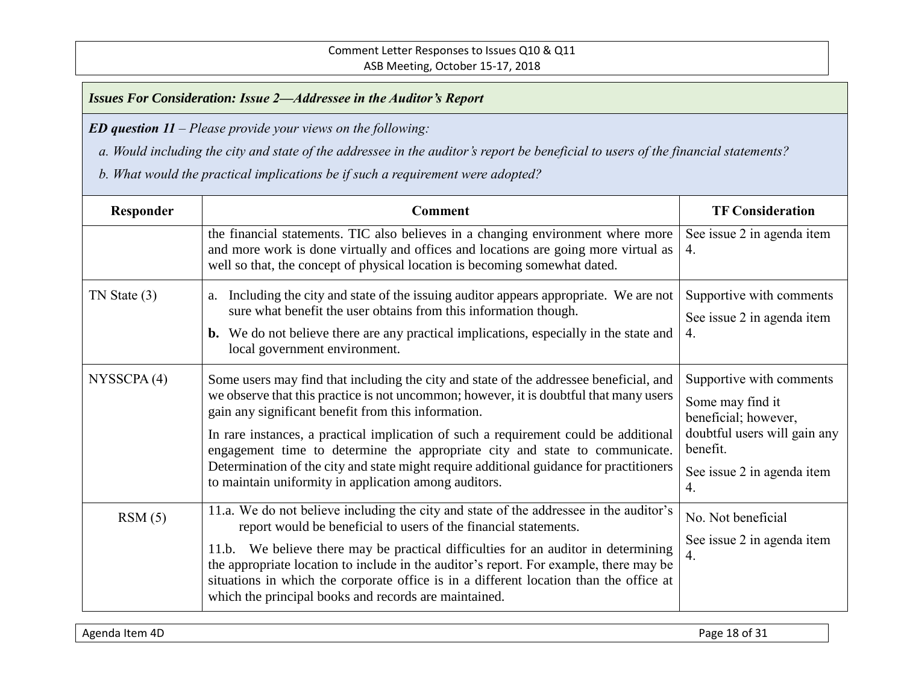*ED question 11 – Please provide your views on the following:*

 *a. Would including the city and state of the addressee in the auditor's report be beneficial to users of the financial statements?* 

| Responder        | <b>Comment</b>                                                                                                                                                                                                                                                                                                                                                                                                                                                                                                                                                     | <b>TF Consideration</b>                                                                                                                              |
|------------------|--------------------------------------------------------------------------------------------------------------------------------------------------------------------------------------------------------------------------------------------------------------------------------------------------------------------------------------------------------------------------------------------------------------------------------------------------------------------------------------------------------------------------------------------------------------------|------------------------------------------------------------------------------------------------------------------------------------------------------|
|                  | the financial statements. TIC also believes in a changing environment where more<br>and more work is done virtually and offices and locations are going more virtual as<br>well so that, the concept of physical location is becoming somewhat dated.                                                                                                                                                                                                                                                                                                              | See issue 2 in agenda item<br>4.                                                                                                                     |
| $TN$ State $(3)$ | Including the city and state of the issuing auditor appears appropriate. We are not<br>a.<br>sure what benefit the user obtains from this information though.<br><b>b.</b> We do not believe there are any practical implications, especially in the state and<br>local government environment.                                                                                                                                                                                                                                                                    | Supportive with comments<br>See issue 2 in agenda item<br>4.                                                                                         |
| NYSSCPA(4)       | Some users may find that including the city and state of the addressee beneficial, and<br>we observe that this practice is not uncommon; however, it is doubtful that many users<br>gain any significant benefit from this information.<br>In rare instances, a practical implication of such a requirement could be additional<br>engagement time to determine the appropriate city and state to communicate.<br>Determination of the city and state might require additional guidance for practitioners<br>to maintain uniformity in application among auditors. | Supportive with comments<br>Some may find it<br>beneficial; however,<br>doubtful users will gain any<br>benefit.<br>See issue 2 in agenda item<br>4. |
| RSM(5)           | 11.a. We do not believe including the city and state of the addressee in the auditor's<br>report would be beneficial to users of the financial statements.<br>11.b. We believe there may be practical difficulties for an auditor in determining<br>the appropriate location to include in the auditor's report. For example, there may be<br>situations in which the corporate office is in a different location than the office at<br>which the principal books and records are maintained.                                                                      | No. Not beneficial<br>See issue 2 in agenda item<br>4.                                                                                               |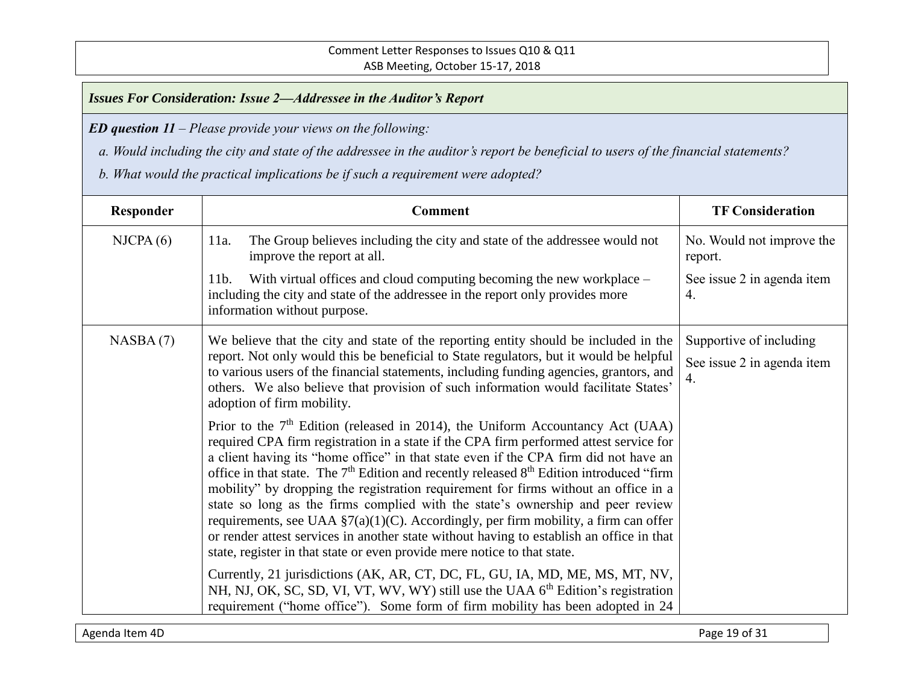*ED question 11 – Please provide your views on the following:*

 *a. Would including the city and state of the addressee in the auditor's report be beneficial to users of the financial statements?* 

| Responder | <b>Comment</b>                                                                                                                                                                                                                                                                                                                                                                                                                                                                                                                                                                                                                                                                                                                                                                                                                     | <b>TF Consideration</b>                                     |
|-----------|------------------------------------------------------------------------------------------------------------------------------------------------------------------------------------------------------------------------------------------------------------------------------------------------------------------------------------------------------------------------------------------------------------------------------------------------------------------------------------------------------------------------------------------------------------------------------------------------------------------------------------------------------------------------------------------------------------------------------------------------------------------------------------------------------------------------------------|-------------------------------------------------------------|
| NICPA(6)  | The Group believes including the city and state of the addressee would not<br>11a.<br>improve the report at all.                                                                                                                                                                                                                                                                                                                                                                                                                                                                                                                                                                                                                                                                                                                   | No. Would not improve the<br>report.                        |
|           | With virtual offices and cloud computing becoming the new workplace –<br>$11b$ .<br>including the city and state of the addressee in the report only provides more<br>information without purpose.                                                                                                                                                                                                                                                                                                                                                                                                                                                                                                                                                                                                                                 | See issue 2 in agenda item<br>4.                            |
| NASBA(7)  | We believe that the city and state of the reporting entity should be included in the<br>report. Not only would this be beneficial to State regulators, but it would be helpful<br>to various users of the financial statements, including funding agencies, grantors, and<br>others. We also believe that provision of such information would facilitate States'<br>adoption of firm mobility.                                                                                                                                                                                                                                                                                                                                                                                                                                     | Supportive of including<br>See issue 2 in agenda item<br>4. |
|           | Prior to the $7th$ Edition (released in 2014), the Uniform Accountancy Act (UAA)<br>required CPA firm registration in a state if the CPA firm performed attest service for<br>a client having its "home office" in that state even if the CPA firm did not have an<br>office in that state. The 7 <sup>th</sup> Edition and recently released 8 <sup>th</sup> Edition introduced "firm<br>mobility" by dropping the registration requirement for firms without an office in a<br>state so long as the firms complied with the state's ownership and peer review<br>requirements, see UAA $\S7(a)(1)(C)$ . Accordingly, per firm mobility, a firm can offer<br>or render attest services in another state without having to establish an office in that<br>state, register in that state or even provide mere notice to that state. |                                                             |
|           | Currently, 21 jurisdictions (AK, AR, CT, DC, FL, GU, IA, MD, ME, MS, MT, NV,<br>NH, NJ, OK, SC, SD, VI, VT, WV, WY) still use the UAA 6 <sup>th</sup> Edition's registration<br>requirement ("home office"). Some form of firm mobility has been adopted in 24                                                                                                                                                                                                                                                                                                                                                                                                                                                                                                                                                                     |                                                             |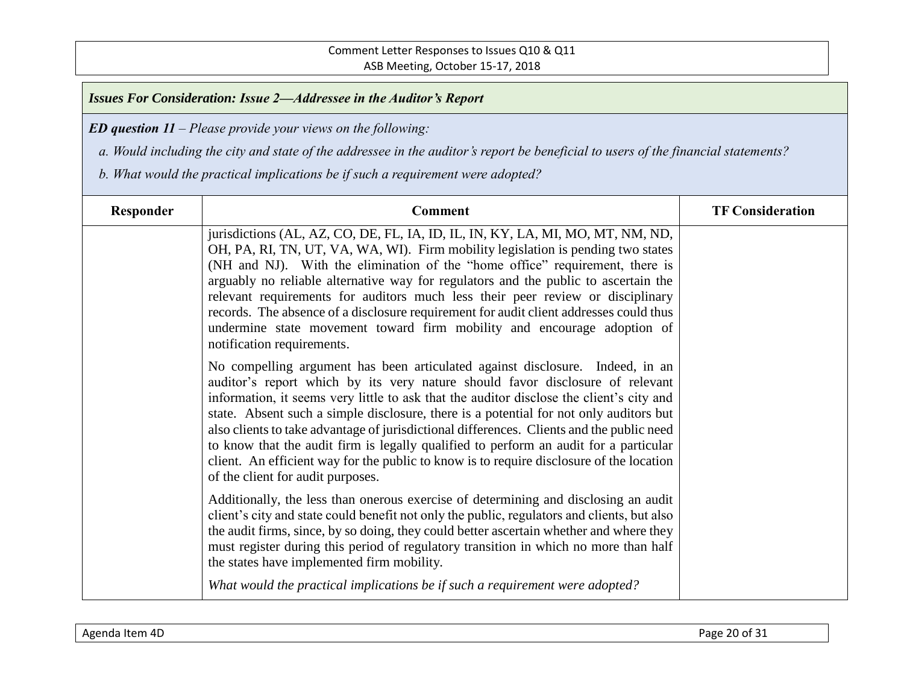*ED question 11 – Please provide your views on the following:*

 *a. Would including the city and state of the addressee in the auditor's report be beneficial to users of the financial statements?* 

| Responder | <b>Comment</b>                                                                                                                                                                                                                                                                                                                                                                                                                                                                                                                                                                                                                                                              | <b>TF Consideration</b> |
|-----------|-----------------------------------------------------------------------------------------------------------------------------------------------------------------------------------------------------------------------------------------------------------------------------------------------------------------------------------------------------------------------------------------------------------------------------------------------------------------------------------------------------------------------------------------------------------------------------------------------------------------------------------------------------------------------------|-------------------------|
|           | jurisdictions (AL, AZ, CO, DE, FL, IA, ID, IL, IN, KY, LA, MI, MO, MT, NM, ND,<br>OH, PA, RI, TN, UT, VA, WA, WI). Firm mobility legislation is pending two states<br>(NH and NJ). With the elimination of the "home office" requirement, there is<br>arguably no reliable alternative way for regulators and the public to ascertain the<br>relevant requirements for auditors much less their peer review or disciplinary<br>records. The absence of a disclosure requirement for audit client addresses could thus<br>undermine state movement toward firm mobility and encourage adoption of<br>notification requirements.                                              |                         |
|           | No compelling argument has been articulated against disclosure. Indeed, in an<br>auditor's report which by its very nature should favor disclosure of relevant<br>information, it seems very little to ask that the auditor disclose the client's city and<br>state. Absent such a simple disclosure, there is a potential for not only auditors but<br>also clients to take advantage of jurisdictional differences. Clients and the public need<br>to know that the audit firm is legally qualified to perform an audit for a particular<br>client. An efficient way for the public to know is to require disclosure of the location<br>of the client for audit purposes. |                         |
|           | Additionally, the less than onerous exercise of determining and disclosing an audit<br>client's city and state could benefit not only the public, regulators and clients, but also<br>the audit firms, since, by so doing, they could better ascertain whether and where they<br>must register during this period of regulatory transition in which no more than half<br>the states have implemented firm mobility.                                                                                                                                                                                                                                                         |                         |
|           | What would the practical implications be if such a requirement were adopted?                                                                                                                                                                                                                                                                                                                                                                                                                                                                                                                                                                                                |                         |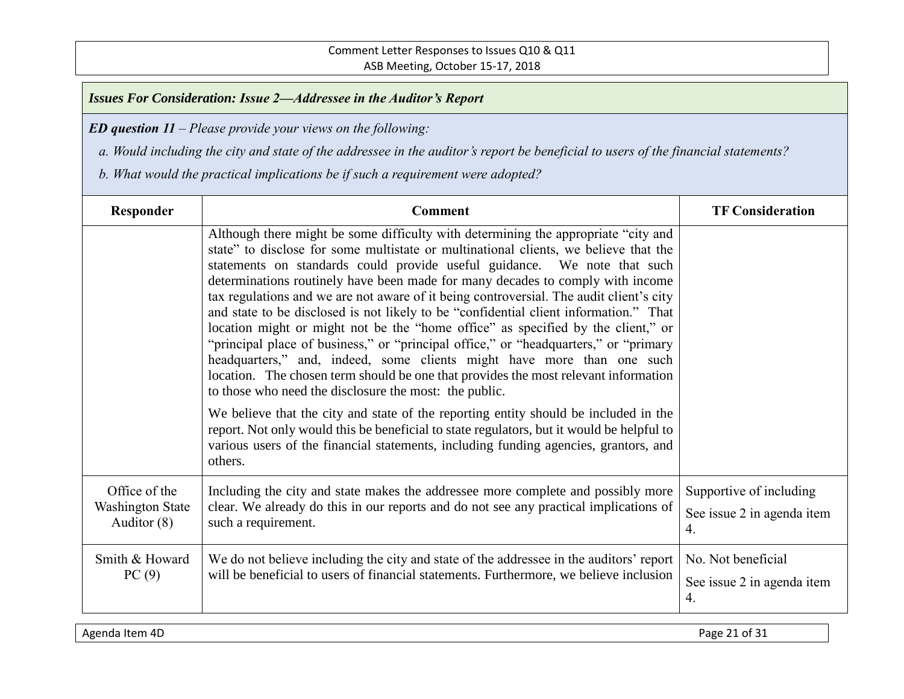*ED question 11 – Please provide your views on the following:*

 *a. Would including the city and state of the addressee in the auditor's report be beneficial to users of the financial statements?* 

| Responder                                                 | <b>Comment</b>                                                                                                                                                                                                                                                                                                                                                                                                                                                                                                                                                                                                                                                                                                                                                                                                                                                                                                                      | <b>TF Consideration</b>                                              |
|-----------------------------------------------------------|-------------------------------------------------------------------------------------------------------------------------------------------------------------------------------------------------------------------------------------------------------------------------------------------------------------------------------------------------------------------------------------------------------------------------------------------------------------------------------------------------------------------------------------------------------------------------------------------------------------------------------------------------------------------------------------------------------------------------------------------------------------------------------------------------------------------------------------------------------------------------------------------------------------------------------------|----------------------------------------------------------------------|
|                                                           | Although there might be some difficulty with determining the appropriate "city and<br>state" to disclose for some multistate or multinational clients, we believe that the<br>statements on standards could provide useful guidance. We note that such<br>determinations routinely have been made for many decades to comply with income<br>tax regulations and we are not aware of it being controversial. The audit client's city<br>and state to be disclosed is not likely to be "confidential client information." That<br>location might or might not be the "home office" as specified by the client," or<br>"principal place of business," or "principal office," or "headquarters," or "primary<br>headquarters," and, indeed, some clients might have more than one such<br>location. The chosen term should be one that provides the most relevant information<br>to those who need the disclosure the most: the public. |                                                                      |
|                                                           | We believe that the city and state of the reporting entity should be included in the<br>report. Not only would this be beneficial to state regulators, but it would be helpful to<br>various users of the financial statements, including funding agencies, grantors, and<br>others.                                                                                                                                                                                                                                                                                                                                                                                                                                                                                                                                                                                                                                                |                                                                      |
| Office of the<br><b>Washington State</b><br>Auditor $(8)$ | Including the city and state makes the addressee more complete and possibly more<br>clear. We already do this in our reports and do not see any practical implications of<br>such a requirement.                                                                                                                                                                                                                                                                                                                                                                                                                                                                                                                                                                                                                                                                                                                                    | Supportive of including<br>See issue 2 in agenda item<br>4.          |
| Smith & Howard<br>PC(9)                                   | We do not believe including the city and state of the addressee in the auditors' report<br>will be beneficial to users of financial statements. Furthermore, we believe inclusion                                                                                                                                                                                                                                                                                                                                                                                                                                                                                                                                                                                                                                                                                                                                                   | No. Not beneficial<br>See issue 2 in agenda item<br>$\overline{4}$ . |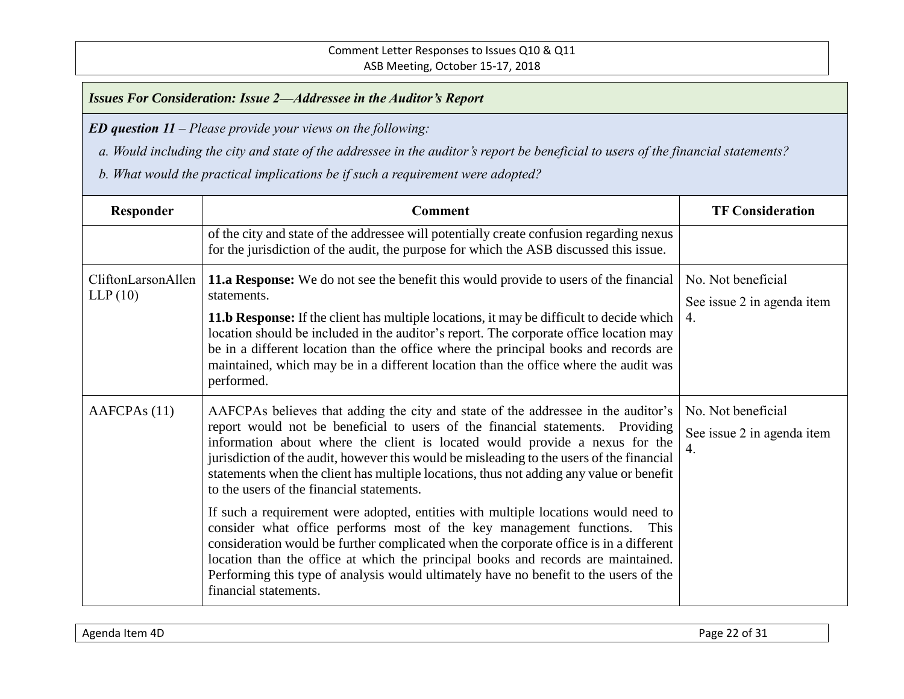*ED question 11 – Please provide your views on the following:*

 *a. Would including the city and state of the addressee in the auditor's report be beneficial to users of the financial statements?* 

| Responder                     | <b>Comment</b>                                                                                                                                                                                                                                                                                                                                                                                                                                                                                  | <b>TF Consideration</b>                                |
|-------------------------------|-------------------------------------------------------------------------------------------------------------------------------------------------------------------------------------------------------------------------------------------------------------------------------------------------------------------------------------------------------------------------------------------------------------------------------------------------------------------------------------------------|--------------------------------------------------------|
|                               | of the city and state of the addressee will potentially create confusion regarding nexus<br>for the jurisdiction of the audit, the purpose for which the ASB discussed this issue.                                                                                                                                                                                                                                                                                                              |                                                        |
| CliftonLarsonAllen<br>LLP(10) | <b>11.a Response:</b> We do not see the benefit this would provide to users of the financial<br>statements.<br>11.b Response: If the client has multiple locations, it may be difficult to decide which<br>location should be included in the auditor's report. The corporate office location may<br>be in a different location than the office where the principal books and records are<br>maintained, which may be in a different location than the office where the audit was<br>performed. | No. Not beneficial<br>See issue 2 in agenda item<br>4. |
| AAFCPA <sub>s</sub> (11)      | AAFCPAs believes that adding the city and state of the addressee in the auditor's<br>report would not be beneficial to users of the financial statements. Providing<br>information about where the client is located would provide a nexus for the<br>jurisdiction of the audit, however this would be misleading to the users of the financial<br>statements when the client has multiple locations, thus not adding any value or benefit<br>to the users of the financial statements.         | No. Not beneficial<br>See issue 2 in agenda item<br>4. |
|                               | If such a requirement were adopted, entities with multiple locations would need to<br>consider what office performs most of the key management functions.<br>This<br>consideration would be further complicated when the corporate office is in a different<br>location than the office at which the principal books and records are maintained.<br>Performing this type of analysis would ultimately have no benefit to the users of the<br>financial statements.                              |                                                        |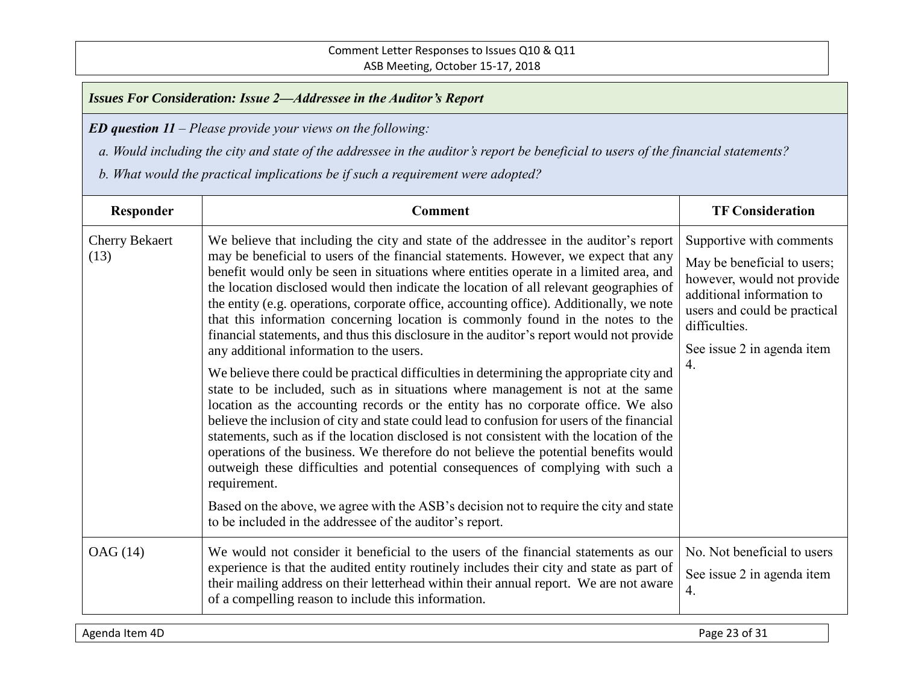*ED question 11 – Please provide your views on the following:*

- *a. Would including the city and state of the addressee in the auditor's report be beneficial to users of the financial statements?*
- *b. What would the practical implications be if such a requirement were adopted?*

| Responder                     | <b>Comment</b>                                                                                                                                                                                                                                                                                                                                                                                                                                                                                                                                                                                                                                                                                                                                                                                                                                                                                                                                                                                                                                                                                                                                                                                                                                                                                                                                                                                                                                                                                         | <b>TF Consideration</b>                                                                                                                                                                                 |
|-------------------------------|--------------------------------------------------------------------------------------------------------------------------------------------------------------------------------------------------------------------------------------------------------------------------------------------------------------------------------------------------------------------------------------------------------------------------------------------------------------------------------------------------------------------------------------------------------------------------------------------------------------------------------------------------------------------------------------------------------------------------------------------------------------------------------------------------------------------------------------------------------------------------------------------------------------------------------------------------------------------------------------------------------------------------------------------------------------------------------------------------------------------------------------------------------------------------------------------------------------------------------------------------------------------------------------------------------------------------------------------------------------------------------------------------------------------------------------------------------------------------------------------------------|---------------------------------------------------------------------------------------------------------------------------------------------------------------------------------------------------------|
| <b>Cherry Bekaert</b><br>(13) | We believe that including the city and state of the addressee in the auditor's report<br>may be beneficial to users of the financial statements. However, we expect that any<br>benefit would only be seen in situations where entities operate in a limited area, and<br>the location disclosed would then indicate the location of all relevant geographies of<br>the entity (e.g. operations, corporate office, accounting office). Additionally, we note<br>that this information concerning location is commonly found in the notes to the<br>financial statements, and thus this disclosure in the auditor's report would not provide<br>any additional information to the users.<br>We believe there could be practical difficulties in determining the appropriate city and<br>state to be included, such as in situations where management is not at the same<br>location as the accounting records or the entity has no corporate office. We also<br>believe the inclusion of city and state could lead to confusion for users of the financial<br>statements, such as if the location disclosed is not consistent with the location of the<br>operations of the business. We therefore do not believe the potential benefits would<br>outweigh these difficulties and potential consequences of complying with such a<br>requirement.<br>Based on the above, we agree with the ASB's decision not to require the city and state<br>to be included in the addressee of the auditor's report. | Supportive with comments<br>May be beneficial to users;<br>however, would not provide<br>additional information to<br>users and could be practical<br>difficulties.<br>See issue 2 in agenda item<br>4. |
| OAG (14)                      | We would not consider it beneficial to the users of the financial statements as our<br>experience is that the audited entity routinely includes their city and state as part of<br>their mailing address on their letterhead within their annual report. We are not aware<br>of a compelling reason to include this information.                                                                                                                                                                                                                                                                                                                                                                                                                                                                                                                                                                                                                                                                                                                                                                                                                                                                                                                                                                                                                                                                                                                                                                       | No. Not beneficial to users<br>See issue 2 in agenda item<br>$\overline{4}$ .                                                                                                                           |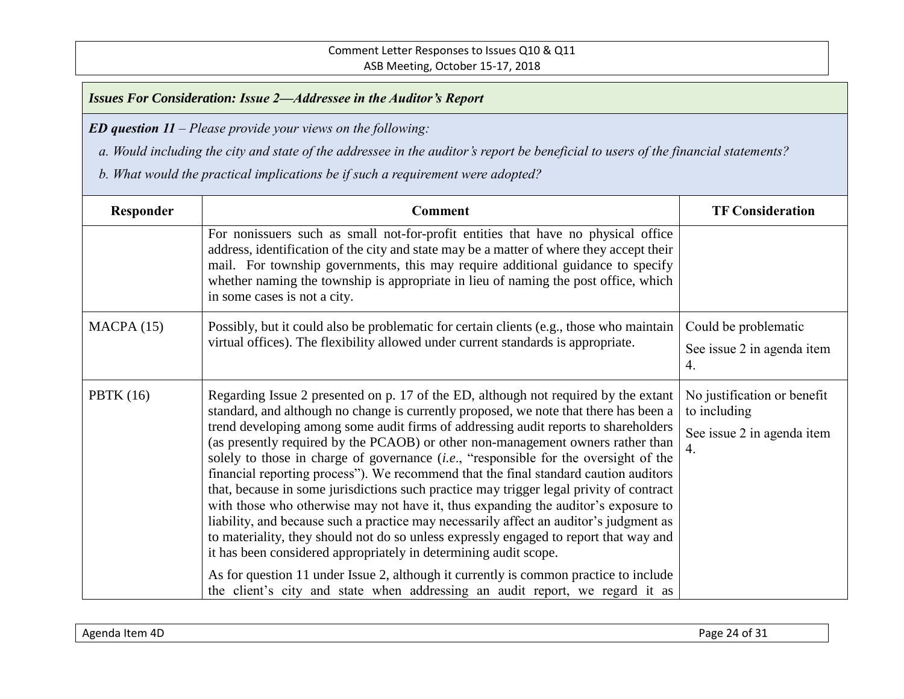*ED question 11 – Please provide your views on the following:*

 *a. Would including the city and state of the addressee in the auditor's report be beneficial to users of the financial statements?* 

| Responder   | <b>Comment</b>                                                                                                                                                                                                                                                                                                                                                                                                                                                                                                                                                                                                                                                                                                                                                                                                                                                                                                                                                                                                                                                                                                                                                 | <b>TF Consideration</b>                                                         |
|-------------|----------------------------------------------------------------------------------------------------------------------------------------------------------------------------------------------------------------------------------------------------------------------------------------------------------------------------------------------------------------------------------------------------------------------------------------------------------------------------------------------------------------------------------------------------------------------------------------------------------------------------------------------------------------------------------------------------------------------------------------------------------------------------------------------------------------------------------------------------------------------------------------------------------------------------------------------------------------------------------------------------------------------------------------------------------------------------------------------------------------------------------------------------------------|---------------------------------------------------------------------------------|
|             | For nonissuers such as small not-for-profit entities that have no physical office<br>address, identification of the city and state may be a matter of where they accept their<br>mail. For township governments, this may require additional guidance to specify<br>whether naming the township is appropriate in lieu of naming the post office, which<br>in some cases is not a city.                                                                                                                                                                                                                                                                                                                                                                                                                                                                                                                                                                                                                                                                                                                                                                        |                                                                                 |
| MACPA(15)   | Possibly, but it could also be problematic for certain clients (e.g., those who maintain<br>virtual offices). The flexibility allowed under current standards is appropriate.                                                                                                                                                                                                                                                                                                                                                                                                                                                                                                                                                                                                                                                                                                                                                                                                                                                                                                                                                                                  | Could be problematic<br>See issue 2 in agenda item<br>4.                        |
| PBTK $(16)$ | Regarding Issue 2 presented on p. 17 of the ED, although not required by the extant<br>standard, and although no change is currently proposed, we note that there has been a<br>trend developing among some audit firms of addressing audit reports to shareholders<br>(as presently required by the PCAOB) or other non-management owners rather than<br>solely to those in charge of governance <i>(i.e.,</i> "responsible for the oversight of the<br>financial reporting process"). We recommend that the final standard caution auditors<br>that, because in some jurisdictions such practice may trigger legal privity of contract<br>with those who otherwise may not have it, thus expanding the auditor's exposure to<br>liability, and because such a practice may necessarily affect an auditor's judgment as<br>to materiality, they should not do so unless expressly engaged to report that way and<br>it has been considered appropriately in determining audit scope.<br>As for question 11 under Issue 2, although it currently is common practice to include<br>the client's city and state when addressing an audit report, we regard it as | No justification or benefit<br>to including<br>See issue 2 in agenda item<br>4. |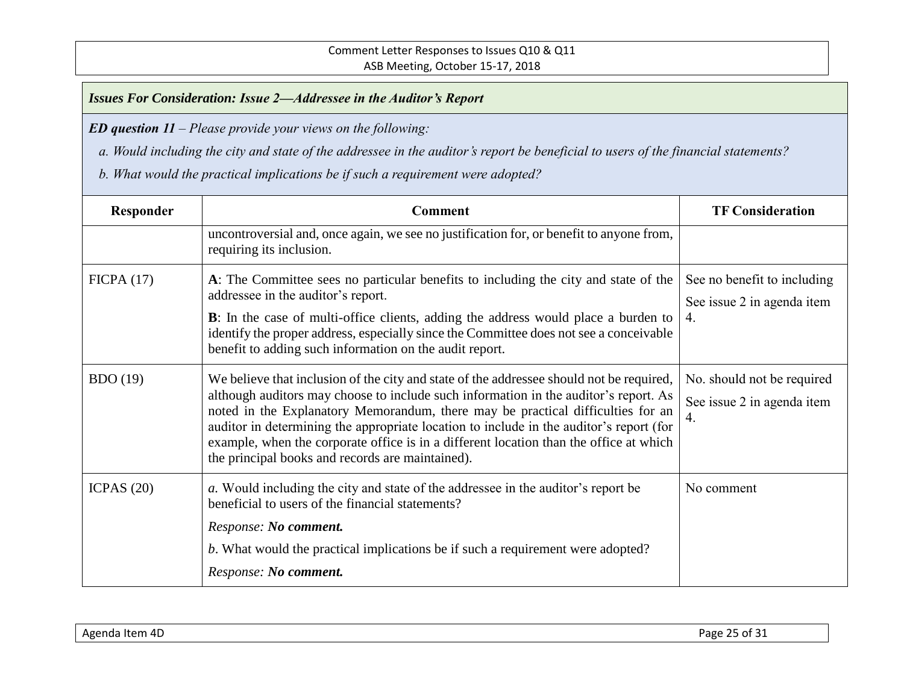*ED question 11 – Please provide your views on the following:*

 *a. Would including the city and state of the addressee in the auditor's report be beneficial to users of the financial statements?* 

| Responder    | <b>Comment</b>                                                                                                                                                                                                                                                                                                                                                                                                                                                                                               | <b>TF Consideration</b>                                         |
|--------------|--------------------------------------------------------------------------------------------------------------------------------------------------------------------------------------------------------------------------------------------------------------------------------------------------------------------------------------------------------------------------------------------------------------------------------------------------------------------------------------------------------------|-----------------------------------------------------------------|
|              | uncontroversial and, once again, we see no justification for, or benefit to anyone from,<br>requiring its inclusion.                                                                                                                                                                                                                                                                                                                                                                                         |                                                                 |
| FICPA(17)    | A: The Committee sees no particular benefits to including the city and state of the<br>addressee in the auditor's report.<br><b>B</b> : In the case of multi-office clients, adding the address would place a burden to<br>identify the proper address, especially since the Committee does not see a conceivable<br>benefit to adding such information on the audit report.                                                                                                                                 | See no benefit to including<br>See issue 2 in agenda item<br>4. |
| BDO(19)      | We believe that inclusion of the city and state of the addressee should not be required,<br>although auditors may choose to include such information in the auditor's report. As<br>noted in the Explanatory Memorandum, there may be practical difficulties for an<br>auditor in determining the appropriate location to include in the auditor's report (for<br>example, when the corporate office is in a different location than the office at which<br>the principal books and records are maintained). | No. should not be required<br>See issue 2 in agenda item<br>4.  |
| ICPAS $(20)$ | a. Would including the city and state of the addressee in the auditor's report be<br>beneficial to users of the financial statements?<br>Response: No comment.<br>b. What would the practical implications be if such a requirement were adopted?<br>Response: No comment.                                                                                                                                                                                                                                   | No comment                                                      |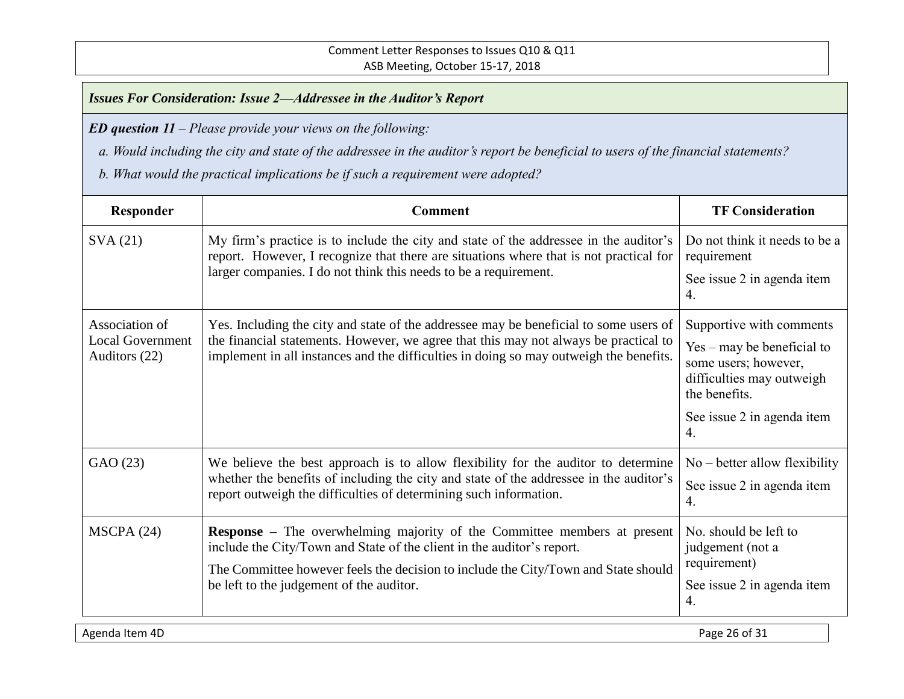*ED question 11 – Please provide your views on the following:*

 *a. Would including the city and state of the addressee in the auditor's report be beneficial to users of the financial statements?* 

 *b. What would the practical implications be if such a requirement were adopted?*

| Responder                                                  | <b>Comment</b>                                                                                                                                                                                                                                                                              | <b>TF Consideration</b>                                                                                     |
|------------------------------------------------------------|---------------------------------------------------------------------------------------------------------------------------------------------------------------------------------------------------------------------------------------------------------------------------------------------|-------------------------------------------------------------------------------------------------------------|
| SVA(21)                                                    | My firm's practice is to include the city and state of the addressee in the auditor's<br>report. However, I recognize that there are situations where that is not practical for<br>larger companies. I do not think this needs to be a requirement.                                         | Do not think it needs to be a<br>requirement                                                                |
|                                                            |                                                                                                                                                                                                                                                                                             | See issue 2 in agenda item<br>4.                                                                            |
| Association of<br><b>Local Government</b><br>Auditors (22) | Yes. Including the city and state of the addressee may be beneficial to some users of<br>the financial statements. However, we agree that this may not always be practical to<br>implement in all instances and the difficulties in doing so may outweigh the benefits.                     | Supportive with comments<br>Yes – may be beneficial to<br>some users; however,<br>difficulties may outweigh |
|                                                            |                                                                                                                                                                                                                                                                                             | the benefits.<br>See issue 2 in agenda item<br>$\overline{4}$ .                                             |
| GAO (23)                                                   | We believe the best approach is to allow flexibility for the auditor to determine<br>whether the benefits of including the city and state of the addressee in the auditor's<br>report outweigh the difficulties of determining such information.                                            | $No - better$ allow flexibility<br>See issue 2 in agenda item<br>4.                                         |
| MSCPA(24)                                                  | <b>Response</b> – The overwhelming majority of the Committee members at present<br>include the City/Town and State of the client in the auditor's report.<br>The Committee however feels the decision to include the City/Town and State should<br>be left to the judgement of the auditor. | No. should be left to<br>judgement (not a<br>requirement)<br>See issue 2 in agenda item<br>4.               |

Agenda Item 4D Page 26 of 31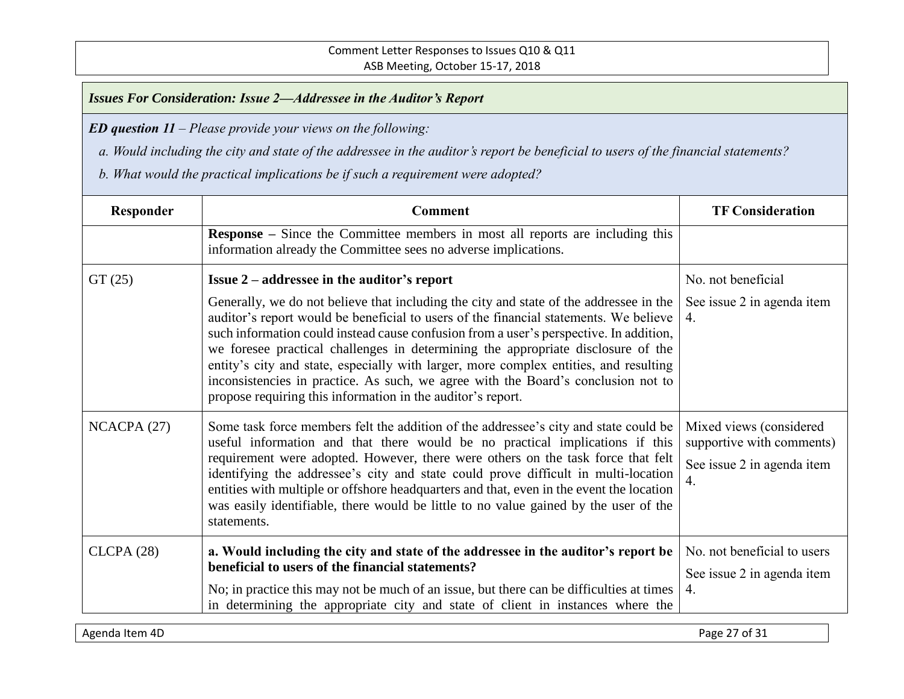*ED question 11 – Please provide your views on the following:*

 *a. Would including the city and state of the addressee in the auditor's report be beneficial to users of the financial statements?* 

| Responder  | <b>Comment</b>                                                                                                                                                                                                                                                                                                                                                                                                                                                                                                                                                                                             | <b>TF Consideration</b>                                                                                 |
|------------|------------------------------------------------------------------------------------------------------------------------------------------------------------------------------------------------------------------------------------------------------------------------------------------------------------------------------------------------------------------------------------------------------------------------------------------------------------------------------------------------------------------------------------------------------------------------------------------------------------|---------------------------------------------------------------------------------------------------------|
|            | <b>Response</b> – Since the Committee members in most all reports are including this<br>information already the Committee sees no adverse implications.                                                                                                                                                                                                                                                                                                                                                                                                                                                    |                                                                                                         |
| GT(25)     | <b>Issue 2</b> – addressee in the auditor's report                                                                                                                                                                                                                                                                                                                                                                                                                                                                                                                                                         | No. not beneficial                                                                                      |
|            | Generally, we do not believe that including the city and state of the addressee in the<br>auditor's report would be beneficial to users of the financial statements. We believe<br>such information could instead cause confusion from a user's perspective. In addition,<br>we foresee practical challenges in determining the appropriate disclosure of the<br>entity's city and state, especially with larger, more complex entities, and resulting<br>inconsistencies in practice. As such, we agree with the Board's conclusion not to<br>propose requiring this information in the auditor's report. | See issue 2 in agenda item<br>4.                                                                        |
| NCACPA(27) | Some task force members felt the addition of the addressee's city and state could be<br>useful information and that there would be no practical implications if this<br>requirement were adopted. However, there were others on the task force that felt<br>identifying the addressee's city and state could prove difficult in multi-location<br>entities with multiple or offshore headquarters and that, even in the event the location<br>was easily identifiable, there would be little to no value gained by the user of the<br>statements.                                                          | Mixed views (considered)<br>supportive with comments)<br>See issue 2 in agenda item<br>$\overline{4}$ . |
| CLCPA(28)  | a. Would including the city and state of the addressee in the auditor's report be<br>beneficial to users of the financial statements?<br>No; in practice this may not be much of an issue, but there can be difficulties at times<br>in determining the appropriate city and state of client in instances where the                                                                                                                                                                                                                                                                                        | No. not beneficial to users<br>See issue 2 in agenda item<br>4.                                         |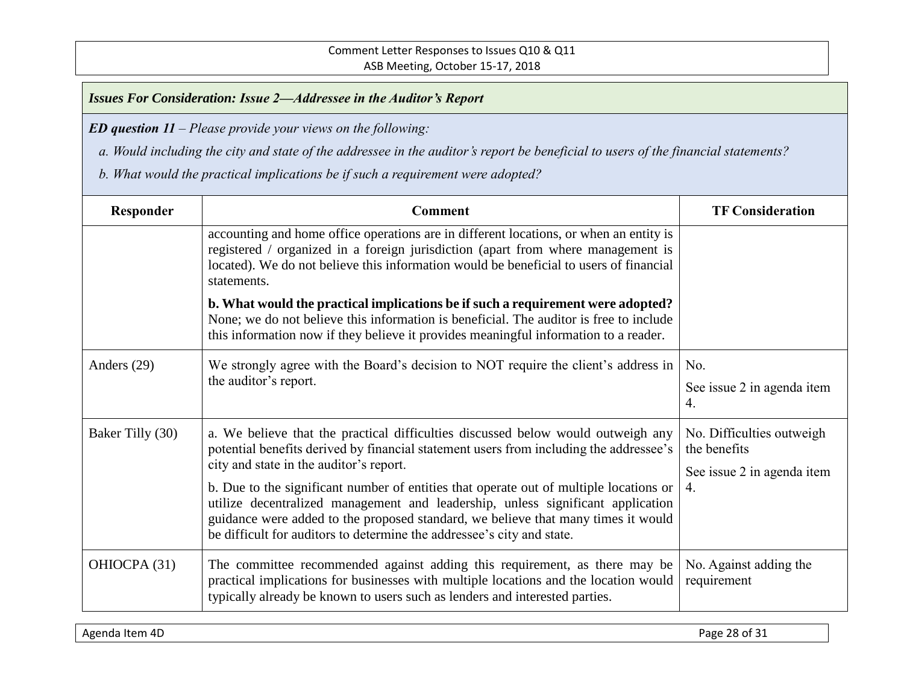*ED question 11 – Please provide your views on the following:*

 *a. Would including the city and state of the addressee in the auditor's report be beneficial to users of the financial statements?* 

| Responder        | <b>Comment</b>                                                                                                                                                                                                                                                                                                                                                                                                                                                                                                                                                    | <b>TF Consideration</b>                                                                      |
|------------------|-------------------------------------------------------------------------------------------------------------------------------------------------------------------------------------------------------------------------------------------------------------------------------------------------------------------------------------------------------------------------------------------------------------------------------------------------------------------------------------------------------------------------------------------------------------------|----------------------------------------------------------------------------------------------|
|                  | accounting and home office operations are in different locations, or when an entity is<br>registered / organized in a foreign jurisdiction (apart from where management is<br>located). We do not believe this information would be beneficial to users of financial<br>statements.                                                                                                                                                                                                                                                                               |                                                                                              |
|                  | b. What would the practical implications be if such a requirement were adopted?<br>None; we do not believe this information is beneficial. The auditor is free to include<br>this information now if they believe it provides meaningful information to a reader.                                                                                                                                                                                                                                                                                                 |                                                                                              |
| Anders (29)      | We strongly agree with the Board's decision to NOT require the client's address in<br>the auditor's report.                                                                                                                                                                                                                                                                                                                                                                                                                                                       | No.<br>See issue 2 in agenda item<br>4.                                                      |
| Baker Tilly (30) | a. We believe that the practical difficulties discussed below would outweigh any<br>potential benefits derived by financial statement users from including the addressee's<br>city and state in the auditor's report.<br>b. Due to the significant number of entities that operate out of multiple locations or<br>utilize decentralized management and leadership, unless significant application<br>guidance were added to the proposed standard, we believe that many times it would<br>be difficult for auditors to determine the addressee's city and state. | No. Difficulties outweigh.<br>the benefits<br>See issue 2 in agenda item<br>$\overline{4}$ . |
| OHIOCPA (31)     | The committee recommended against adding this requirement, as there may be<br>practical implications for businesses with multiple locations and the location would<br>typically already be known to users such as lenders and interested parties.                                                                                                                                                                                                                                                                                                                 | No. Against adding the<br>requirement                                                        |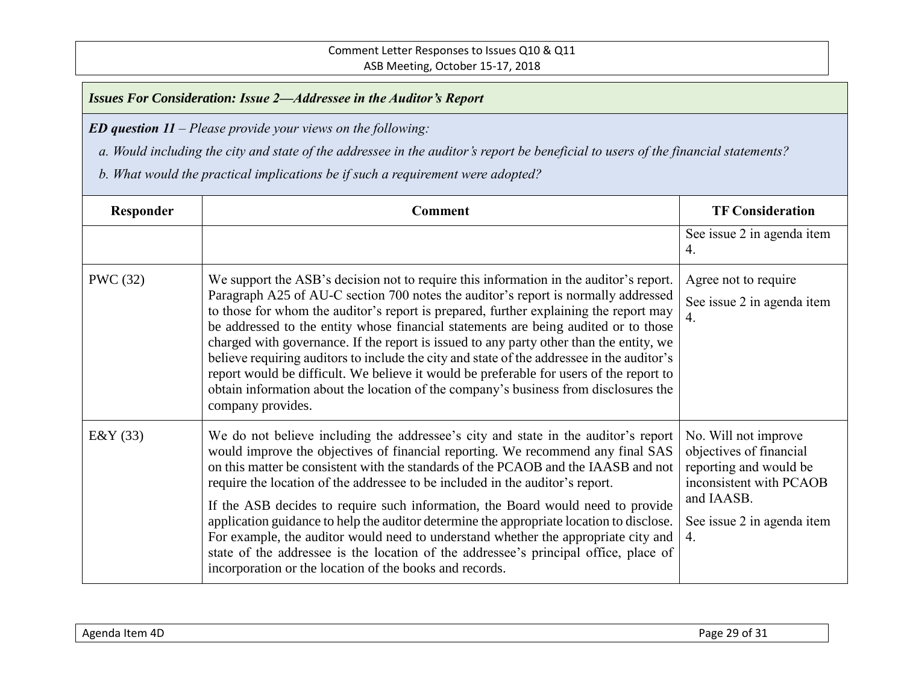*ED question 11 – Please provide your views on the following:*

 *a. Would including the city and state of the addressee in the auditor's report be beneficial to users of the financial statements?* 

| Responder       | <b>Comment</b>                                                                                                                                                                                                                                                                                                                                                                                                                                                                                                                                                                                                                                                                                                                                                       | <b>TF Consideration</b>                                                                                                                                |
|-----------------|----------------------------------------------------------------------------------------------------------------------------------------------------------------------------------------------------------------------------------------------------------------------------------------------------------------------------------------------------------------------------------------------------------------------------------------------------------------------------------------------------------------------------------------------------------------------------------------------------------------------------------------------------------------------------------------------------------------------------------------------------------------------|--------------------------------------------------------------------------------------------------------------------------------------------------------|
|                 |                                                                                                                                                                                                                                                                                                                                                                                                                                                                                                                                                                                                                                                                                                                                                                      | See issue 2 in agenda item<br>4.                                                                                                                       |
| <b>PWC</b> (32) | We support the ASB's decision not to require this information in the auditor's report.<br>Paragraph A25 of AU-C section 700 notes the auditor's report is normally addressed<br>to those for whom the auditor's report is prepared, further explaining the report may<br>be addressed to the entity whose financial statements are being audited or to those<br>charged with governance. If the report is issued to any party other than the entity, we<br>believe requiring auditors to include the city and state of the addressee in the auditor's<br>report would be difficult. We believe it would be preferable for users of the report to<br>obtain information about the location of the company's business from disclosures the<br>company provides.        | Agree not to require<br>See issue 2 in agenda item<br>$\overline{4}$ .                                                                                 |
| E&Y $(33)$      | We do not believe including the addressee's city and state in the auditor's report<br>would improve the objectives of financial reporting. We recommend any final SAS<br>on this matter be consistent with the standards of the PCAOB and the IAASB and not<br>require the location of the addressee to be included in the auditor's report.<br>If the ASB decides to require such information, the Board would need to provide<br>application guidance to help the auditor determine the appropriate location to disclose.<br>For example, the auditor would need to understand whether the appropriate city and<br>state of the addressee is the location of the addressee's principal office, place of<br>incorporation or the location of the books and records. | No. Will not improve<br>objectives of financial<br>reporting and would be<br>inconsistent with PCAOB<br>and IAASB.<br>See issue 2 in agenda item<br>4. |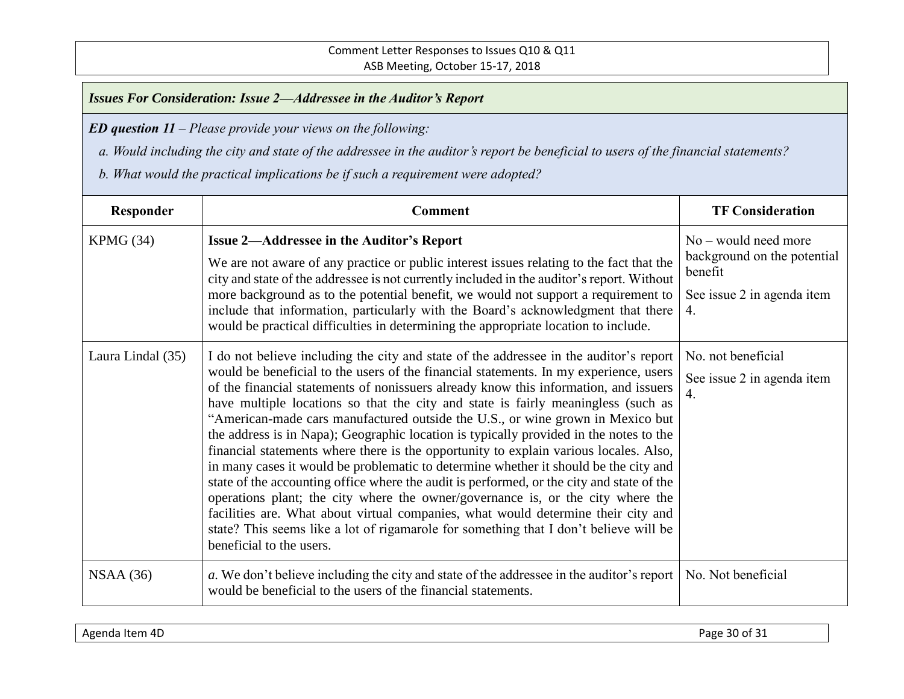*ED question 11 – Please provide your views on the following:*

 *a. Would including the city and state of the addressee in the auditor's report be beneficial to users of the financial statements?* 

| Responder         | <b>Comment</b>                                                                                                                                                                                                                                                                                                                                                                                                                                                                                                                                                                                                                                                                                                                                                                                                                                                                                                                                                                                                                                                                                                      | <b>TF Consideration</b>                                                                              |
|-------------------|---------------------------------------------------------------------------------------------------------------------------------------------------------------------------------------------------------------------------------------------------------------------------------------------------------------------------------------------------------------------------------------------------------------------------------------------------------------------------------------------------------------------------------------------------------------------------------------------------------------------------------------------------------------------------------------------------------------------------------------------------------------------------------------------------------------------------------------------------------------------------------------------------------------------------------------------------------------------------------------------------------------------------------------------------------------------------------------------------------------------|------------------------------------------------------------------------------------------------------|
| KPMG (34)         | <b>Issue 2-Addressee in the Auditor's Report</b><br>We are not aware of any practice or public interest issues relating to the fact that the<br>city and state of the addressee is not currently included in the auditor's report. Without<br>more background as to the potential benefit, we would not support a requirement to<br>include that information, particularly with the Board's acknowledgment that there<br>would be practical difficulties in determining the appropriate location to include.                                                                                                                                                                                                                                                                                                                                                                                                                                                                                                                                                                                                        | $No$ – would need more<br>background on the potential<br>benefit<br>See issue 2 in agenda item<br>4. |
| Laura Lindal (35) | I do not believe including the city and state of the addressee in the auditor's report<br>would be beneficial to the users of the financial statements. In my experience, users<br>of the financial statements of nonissuers already know this information, and issuers<br>have multiple locations so that the city and state is fairly meaningless (such as<br>"American-made cars manufactured outside the U.S., or wine grown in Mexico but<br>the address is in Napa); Geographic location is typically provided in the notes to the<br>financial statements where there is the opportunity to explain various locales. Also,<br>in many cases it would be problematic to determine whether it should be the city and<br>state of the accounting office where the audit is performed, or the city and state of the<br>operations plant; the city where the owner/governance is, or the city where the<br>facilities are. What about virtual companies, what would determine their city and<br>state? This seems like a lot of rigamarole for something that I don't believe will be<br>beneficial to the users. | No. not beneficial<br>See issue 2 in agenda item<br>$\overline{4}$ .                                 |
| NSAA(36)          | a. We don't believe including the city and state of the addressee in the auditor's report<br>would be beneficial to the users of the financial statements.                                                                                                                                                                                                                                                                                                                                                                                                                                                                                                                                                                                                                                                                                                                                                                                                                                                                                                                                                          | No. Not beneficial                                                                                   |